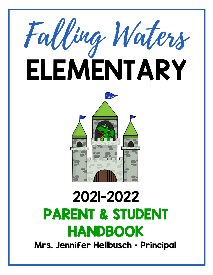



# 2021-2022 PARENT & STUDENT **HANDBOOK**<br>Mrs. Jennifer Hellbusch - Principal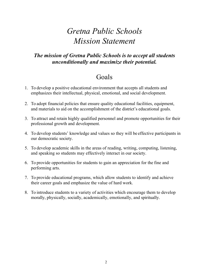# *Gretna Public Schools Mission Statement*

# *The mission of Gretna Public Schools is to accept all students unconditionally and maximize their potential.*

# Goals

- 1. To develop a positive educational environment that accepts all students and emphasizes their intellectual, physical, emotional, and social development.
- 2. To adopt financial policies that ensure quality educational facilities, equipment, and materials to aid on the accomplishment of the district's educational goals.
- 3. To attract and retain highly qualified personnel and promote opportunities for their professional growth and development.
- 4. To develop students' knowledge and values so they will be effective participants in our democratic society.
- 5. To develop academic skills in the areas of reading, writing, computing, listening, and speaking so students may effectively interact in our society.
- 6. To provide opportunities for students to gain an appreciation for the fine and performing arts.
- 7. To provide educational programs, which allow students to identify and achieve their career goals and emphasize the value of hard work.
- 8. To introduce students to a variety of activities which encourage them to develop morally, physically, socially, academically, emotionally, and spiritually.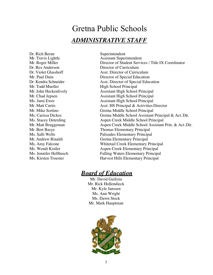# Gretna Public Schools *ADMINISTRATIVE STAFF*

Dr. Rich Beran Superintendent<br>
Mr. Travis Lightle Assistant Super Dr. Rex Anderson Director of Curriculum Mr. Todd Mueller High School Principal

Assistant Superintendent Mr. Roger Miller Director of Student Services / Title IX Coordinator Dr. Violet Glasshoff Asst. Director of Curriculum Mr. Paul Duin Director of Special Education Dr. Kendra Schneider Asst. Director of Special Education Mr. John Heckenlively **Assistant High School Principal** Mr. Chad Jepsen Assistant High School Principal Ms. Jami Ewer Assistant High School Principal Mr. Matt Curtis **Asst. HS Principal & Activities Director** Mr. Mike Sortino Gretna Middle School Principal Ms. Carissa Dickes Gretna Middle School Assistant Principal & Act. Dir. Ms. Stacey Deterding Aspen Creek Middle School Principal Mr. Matt Bruggeman Aspen Creek Middle School Assistant Prin. & Act. Dir. Mr. Bret Basye Thomas Elementary Principal Ms. Salli Wells Palisades Elementary Principal Mr. Andrew Rinaldi Gretna Elementary Principal Ms. Amy Falcone Whitetail Creek Elementary Principal Ms. Wendi Kistler Aspen Creek Elementary Principal Ms. Jennifer Hellbusch Falling Waters Elementary Principal Ms. Kirsten Troester Hills Elementary Principal

# *Board of Education*

Mr. David Guilizia Mr. Rick Hollendieck Mr. Kyle Janssen Ms. Ann Wright Ms. Dawn Stock Mr. Mark Hauptman

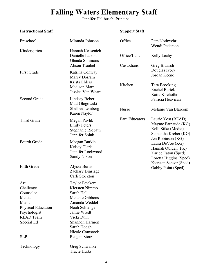# **Falling Waters Elementary Staff**

Jennifer Hellbusch, Principal

# **Instructional Staff Support Staff**

| Preschool                                                                                                                             | Miranda Johnson                                                                                                                                                                                              | Office                     | Pam Nothwehr<br>Wendi Pederson                                                                               |
|---------------------------------------------------------------------------------------------------------------------------------------|--------------------------------------------------------------------------------------------------------------------------------------------------------------------------------------------------------------|----------------------------|--------------------------------------------------------------------------------------------------------------|
| Kindergarten                                                                                                                          | Hannah Kessenich<br>Danielle Larson<br>Glenda Simmons<br>Alison Traubel                                                                                                                                      | Office/Lunch<br>Custodians | Kelly Leahy<br>Greg Braasch                                                                                  |
| <b>First Grade</b>                                                                                                                    | Katrina Conway<br>Marcy Dorram<br>Krista Ehlers<br><b>Madison Marr</b>                                                                                                                                       | Kitchen                    | Douglas Ivory<br>Jordan Keene<br><b>Tara Brooking</b><br>Rachel Bartek                                       |
| Second Grade                                                                                                                          | Jessica Van Waart<br>Lindsay Beber<br>Matt Glogowski                                                                                                                                                         |                            | Katie Kirchofer<br>Patricia Heavican                                                                         |
|                                                                                                                                       | Shelbee Lemberg<br>Karen Naylor                                                                                                                                                                              | Nurse                      | Melanie Van Blarcom                                                                                          |
| Third Grade                                                                                                                           | Megan Pavlik<br><b>Emily Peters</b><br>Stephanie Ridpath<br>Jennifer Spink                                                                                                                                   | Para Educators             | Laurie Yost (READ)<br>Mayme Patnaude (KG)<br>Kelli Stika (Media)<br>Samantha Kreber (KG)                     |
| Fourth Grade                                                                                                                          | Morgan Burkle<br>Kelsey Clark<br>Jennifer Lockwood<br>Sandy Nixon                                                                                                                                            |                            | Jen Robinson (KG)<br>Laura DeVoe (KG)<br>Hannah Obiden (PK)<br>Karlee Eaton (Sped)<br>Loretta Higgins (Sped) |
| Fifth Grade                                                                                                                           | Alyssa Burns<br>Zachary Dinslage<br>Carli Stockton                                                                                                                                                           |                            | Kiersten Sensor (Sped)<br>Gabby Point (Sped)                                                                 |
| Art<br>Challenge<br>Counselor<br>Media<br>Music<br>Physical Education<br>Psychologist<br><b>READ Team</b><br>Special Ed<br><b>SLP</b> | <b>Taylor Feickert</b><br>Kiersten Nimmo<br>Sarah Hall<br>Melanie Gibbons<br>Amanda Weddel<br>Noah Schlange<br>Jamie Wredt<br>Vicki Duin<br>Shannon Harmon<br>Sarah Hoegh<br>Nicole Comstock<br>Reagan Stotz |                            |                                                                                                              |
| Technology                                                                                                                            | Greg Schwanke<br>Tracie Hurtz                                                                                                                                                                                |                            |                                                                                                              |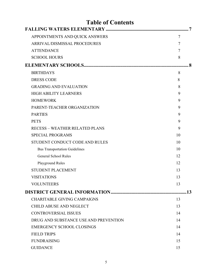| <b>Table of Contents</b>              |        |
|---------------------------------------|--------|
|                                       |        |
| APPOINTMENTS AND QUICK ANSWERS        | $\tau$ |
| ARRIVAL/DISMISSAL PROCEDURES          | 7      |
| <b>ATTENDANCE</b>                     | 7      |
| <b>SCHOOL HOURS</b>                   | 8      |
|                                       | 8      |
| <b>BIRTHDAYS</b>                      | 8      |
| <b>DRESS CODE</b>                     | 8      |
| <b>GRADING AND EVALUATION</b>         | 8      |
| <b>HIGH ABILITY LEARNERS</b>          | 9      |
| <b>HOMEWORK</b>                       | 9      |
| PARENT-TEACHER ORGANIZATION           | 9      |
| <b>PARTIES</b>                        | 9      |
| <b>PETS</b>                           | 9      |
| <b>RECESS - WEATHER RELATED PLANS</b> | 9      |
| <b>SPECIAL PROGRAMS</b>               | 10     |
| STUDENT CONDUCT CODE AND RULES        | 10     |
| <b>Bus Transportation Guidelines</b>  | 10     |
| <b>General School Rules</b>           | 12     |
| Playground Rules                      | 12     |
| <b>STUDENT PLACEMENT</b>              | 13     |
| <b>VISITATIONS</b>                    | 13     |
| <b>VOLUNTEERS</b>                     | 13     |
|                                       | .13    |
| <b>CHARITABLE GIVING CAMPAIGNS</b>    | 13     |
| <b>CHILD ABUSE AND NEGLECT</b>        | 13     |
| <b>CONTROVERSIAL ISSUES</b>           | 14     |
| DRUG AND SUBSTANCE USE AND PREVENTION | 14     |
| <b>EMERGENCY SCHOOL CLOSINGS</b>      | 14     |
| <b>FIELD TRIPS</b>                    | 14     |
| <b>FUNDRAISING</b>                    | 15     |
| <b>GUIDANCE</b>                       | 15     |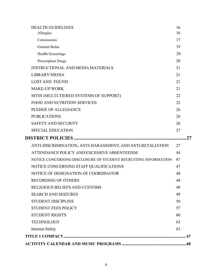| <b>HEALTH GUIDELINES</b>                                       | 16       |
|----------------------------------------------------------------|----------|
| Allergies                                                      | 16       |
| Concussions<br><b>General Rules</b>                            | 17<br>19 |
|                                                                |          |
| <b>Health Screenings</b>                                       | 20       |
| Prescription Drugs                                             | 20       |
| <b>INSTRUCTIONAL AND MEDIA MATERIALS</b>                       | 21       |
| LIBRARY/MEDIA                                                  | 21       |
| <b>LOST AND FOUND</b>                                          | 21       |
| <b>MAKE-UP WORK</b>                                            | 21       |
| MTSS (MULTI-TIERED SYSTEMS OF SUPPORT)                         | 22       |
| <b>FOOD AND NUTRITION SERVICES</b>                             | 22       |
| PLEDGE OF ALLEGIANCE                                           | 26       |
| <b>PUBLICATIONS</b>                                            | 26       |
| <b>SAFETY AND SECURITY</b>                                     | 26       |
| <b>SPECIAL EDUCATION</b>                                       | 27       |
|                                                                |          |
| ANTI-DISCRIMINATION, ANTI-HARASSMENT, AND ANTI-RETALIATION     | 27       |
| ATTENDANCE POLICY AND EXCESSIVE ABSENTEEISM                    | 44       |
| NOTICE CONCERNING DISCLOSURE OF STUDENT RECRUITING INFORMATION | 47       |
| NOTICE CONCERNING STAFF QUALIFICATIONS                         | 47       |
| NOTICE OF DESIGNATION OF COORDINATOR                           | 48       |
| <b>RECORDING OF OTHERS</b>                                     | 48       |
| RELIGIOUS BELIEFS AND CUSTOMS                                  | 48       |
| <b>SEARCH AND SEIZURES</b>                                     | 49       |
| <b>STUDENT DISCIPLINE</b>                                      | 50       |
| <b>STUDENT FEES POLICY</b>                                     | 57       |
|                                                                | 60       |
| <b>STUDENT RIGHTS</b>                                          |          |
| <b>TECHNOLOGY</b>                                              | 63       |
| <b>Internet Safety</b>                                         | 63       |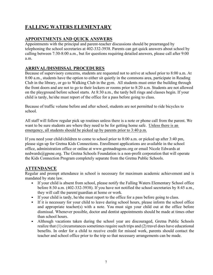# **FALLING WATERS ELEMENTARY**

# **APPOINTMENTS AND QUICK ANSWERS**

Appointments with the principal and parent-teacher discussions should be prearranged by telephoning the school secretaries at 402-332-3938. Parents can get quick answers about school by calling between 7:30-8:00 a.m., but for questions requiring detailed answers, please call after 9:00 a.m.

# **ARRIVAL/DISMISSAL PROCEDURES**

Because of supervisory concerns, students are requested not to arrive at school prior to 8:00 a.m. At 8:00 a.m., students have the option to either sit quietly in the commons area, participate in Reading Club in the library, or go to Walking Club in the gym. All students must enter the building through the front doors and are not to go to their lockers or rooms prior to 8:20 a.m. Students are not allowed on the playground before school starts. At 8:30 a.m., the tardy bell rings and classes begin. If your child is tardy, he/she must report of the office for a pass before going to class.

Because of traffic volume before and after school, students are not permitted to ride bicycles to school.

All staff will follow regular pick up routines unless there is a note or phone call from the parent. We want to be sure students are where they need to be for getting home safe. Unless there is an emergency, all students should be picked up by parents prior to 3:40 p.m.

If you need your child/children to come to school prior to 8:00 a.m. or picked up after 3:40 pm, please sign up for Gretna Kids Connections. Enrollment applications are available in the school office, administration office or online at www.gretnadragons.org or email Nicole Edwards at nedwards@gpsne.org. The Gretna Schools Foundation is a non-profit corporation that will operate the Kids Connection Program completely separate from the Gretna Public Schools.

# **ATTENDANCE**

Regular and prompt attendance in school is necessary for maximum academic achievement and is mandated by state law.

- If your child is absent from school, please notify the Falling Waters Elementary School office before 8:30 a.m. (402-332-3938). If you have not notified the school secretaries by 8:45 a.m., they will call the parent/guardian at home or work.
- If your child is tardy, he/she must report to the office for a pass before going to class.
- If it is necessary for your child to leave during school hours, please inform the school office and appropriate teacher(s) with a note. You must sign your child out at the office before dismissal. Whenever possible, doctor and dentist appointments should be made at times other than school hours.
- Although vacations taken during the school year are discouraged, Gretna Public Schools realize that (1) circumstances sometimes require such trips and (2) travel does have educational benefits. In order for a child to receive credit for missed work, parents should contact the teacher and school office prior to the trip so that necessary arrangements can be made.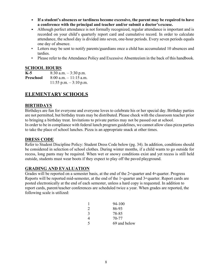- **If a student's absences or tardiness become excessive, the parent may be required to have a conference with the principal and teacher and/or submit a doctor's excuse.**
- Although perfect attendance is not formally recognized, regular attendance is important and is recorded on your child's quarterly report card and cumulative record. In order to calculate attendance, the school day is divided into seven, one-hour periods. Every seven periods equals one day of absence.
- Letters may be sent to notify parents/guardians once a child has accumulated 10 absences and tardies.
- Please refer to the Attendance Policy and Excessive Absenteeism in the back of this handbook.

### **SCHOOL HOURS**

| K-5       | $8:30$ a.m. $-3:30$ p.m.  |
|-----------|---------------------------|
| Preschool | $8:00$ a.m. $-11:15$ a.m. |
|           | 11:55 p.m. $-3:10$ p.m.   |

# **ELEMENTARY SCHOOLS**

# **BIRTHDAYS**

Birthdays are fun for everyone and everyone loves to celebrate his or her special day. Birthday parties are not permitted, but birthday treats may be distributed. Please check with the classroom teacher prior to bringing a birthday treat. Invitations to private parties may not be passed out at school. In order to be in compliance with federal lunch program guidelines, we cannot allow class pizza parties to take the place of school lunches. Pizza is an appropriate snack at other times.

# **DRESS CODE**

Refer to Student Discipline Policy: Student Dress Code below (pg. 34). In addition, conditions should be considered in selection of school clothes. During winter months, if a child wants to go outside for recess, long pants may be required. When wet or snowy conditions exist and yet recess is still held outside, students must wear boots if they expect to play off the paved playground.

# **GRADING AND EVALUATION**

Grades will be reported on a semester basis, at the end of the  $2<sup>nd</sup>$  quarter and  $4<sup>th</sup>$  quarter. Progress Reports will be reported mid-semester, at the end of the 1<sup>st</sup> quarter and  $3<sup>rd</sup>$  quarter. Report cards are posted electronically at the end of each semester, unless a hard copy is requested. In addition to report cards, parent/teacher conferences are scheduled twice a year. When grades are reported, the following scale is utilized:

| 1             | 94-100       |
|---------------|--------------|
| 2             | 86-93        |
| $\mathcal{E}$ | 78-85        |
| 4             | 70-77        |
| 5             | 69 and below |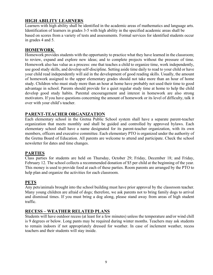# **HIGH ABILITY LEARNERS**

Learners with high ability shall be identified in the academic areas of mathematics and language arts. Identification of learners in grades 3-5 with high ability in the specified academic areas shall be based on scores from a variety of tests and assessments. Formal services for identified students occur in grades 4 and 5.

# **HOMEWORK**

Homework provides students with the opportunity to practice what they have learned in the classroom; to review, expand and explore new ideas; and to complete projects without the pressure of time. Homework also has value as a process: one that teaches a child to organize time, work independently, use good study skills, and develop self-discipline. Setting aside time daily to read to your child or have your child read independently will aid in the development of good reading skills. Usually, the amount of homework assigned to the upper elementary grades should not take more than an hour of home study. Children who must study more than an hour at home have probably not used their time to good advantage in school. Parents should provide for a quiet regular study time at home to help the child develop good study habits. Parental encouragement and interest in homework are also strong motivators. If you have questions concerning the amount of homework or its level of difficulty, talk it over with your child's teacher.

# **PARENT-TEACHER ORGANIZATION**

Each elementary school in the Gretna Public School system shall have a separate parent-teacher organization that meets monthly and shall be guided and controlled by approved bylaws. Each elementary school shall have a name designated for its parent-teacher organization, with its own members, officers and executive committee. Each elementary PTO is organized under the authority of the Gretna Board of Education. All parents are welcome to attend and participate. Check the school newsletter for dates and time changes.

# **PARTIES**

Class parties for students are held on Thursday, October 29; Friday, December 18; and Friday, February 12. The school collects a recommended donation of \$5 per child at the beginning of the year. This money is used to provide food at each of these parties. Room parents are arranged by the PTO to help plan and organize the activities for each classroom.

# **PETS**

Any pets/animals brought into the school building must have prior approval by the classroom teacher. Many young children are afraid of dogs; therefore, we ask parents not to bring family dogs to arrival and dismissal times. If you must bring a dog along, please stand away from areas of high student traffic.

# **RECESS – WEATHER RELATED PLANS**

Students will have outdoor recess (at least for a few minutes) unless the temperature and/or wind chill is 9 degrees or below. Long pants may be required during winter months. Teachers may ask students to remain indoors if not appropriately dressed for weather. In case of inclement weather, recess teachers and their students will stay inside.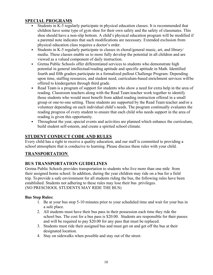# **SPECIAL PROGRAMS**

- Students in K-5 regularly participate in physical education classes. It is recommended that children have some type of gym shoe for their own safety and the safety of classmates. This shoe should have a non-slip bottom. A child's physical education program will be modified if a parental note indicates that such modifications are necessary. Extended exclusion from physical education class requires a doctor's order.
- Students in K-5 regularly participate in classes in choral/general music, art, and library/ media. These classes enable us to more fully develop the potential in all children and are viewed as a valued component of daily instruction.
- Gretna Public Schools offer differentiated services to students who demonstrate high potential in general intellectual/reading aptitude and specific aptitude in Math. Identified fourth and fifth graders participate in a formalized pullout Challenge Program. Depending upon time, staffing resources, and student need, curriculum-based enrichment services willbe offered to kindergarten through third grade.
- Read Team is a program of support for students who show a need for extra help in the area of reading. Classroom teachers along with the Read Team teacher work together to identify those students who would most benefit from added reading instruction offered in a small group or one-to-one setting. These students are supported by the Read Team teacher and/or a volunteer depending on each individual child's needs. The program continually evaluates the reading progress of every student to ensure that each child who needs support in the area of reading is given this opportunity.
- Throughout the year, special events and activities are planned which enhance the curriculum, build student self-esteem, and create a spirited school climate.

# **STUDENT CONDUCT CODE AND RULES**

Every child has a right to receive a quality education, and our staff is committed to providing a school atmosphere that is conducive to learning. Please discuss these rules with your child.

# **TRANSPORTATION**

# **BUS TRANSPORTATION GUIDELINES**

Gretna Public Schools provides transportation to students who live more than one mile from their assigned home school. In addition, during the year children may ride on a bus for a field trip. To provide a safe environment for all students riding the bus, the following rules have been established. Students not adhering to these rules may lose their bus privileges. (NO PRESCHOOL STUDENTS MAY RIDE THE BUS)

# **Bus Stop Rules:**

- 1. Be at your bus stop 5-10 minutes prior to your scheduled time and wait for your bus in a safe place.
- 2. All students must have their bus pass in their possession each time they ride the school bus. The cost for a bus pass is \$20.00. Students are responsible for their passes and will be required to pay \$20.00 for any pass that must be replaced.
- 3. Students must ride their assigned bus and must get on and get off the bus at their designated location.
- 4. Stay on sidewalks when possible and stay out of the street.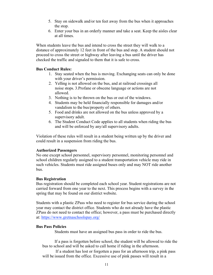- 5. Stay on sidewalk and/or ten feet away from the bus when it approaches the stop.
- 6. Enter your bus in an orderly manner and take a seat. Keep the aisles clear at all times.

When students leave the bus and intend to cross the street they will walk to a distance of approximately 12 feet in front of the bus and stop. A student should not proceed to cross the street or highway after leaving a bus until the driver has checked the traffic and signaled to them that it is safe to cross.

#### **Bus Conduct Rules:**

- 1. Stay seated when the bus is moving. Exchanging seats can only be done with your driver's permission.
- 2. Yelling is not allowed on the bus, and at railroad crossings all noise stops. 3.Profane or obscene language or actions are not allowed.
- 3. Nothing is to be thrown on the bus or out of the windows.
- 4. Students may be held financially responsible for damages and/or vandalism to the bus/property of others.
- 5. Food and drinks are not allowed on the bus unless approved by a supervisory adult.
- 6. The Student Conduct Code applies to all students when riding the bus and will be enforced by any/all supervisory adults.

Violation of these rules will result in a student being written up by the driver and could result in a suspension from riding the bus.

#### **Authorized Passengers**

No one except school personnel, supervisory personnel, monitoring personnel and school children regularly assigned to a student transportation vehicle may ride in such vehicles. Students must ride assigned buses only and may NOT ride another bus.

#### **Bus Registration**

Bus registration should be completed each school year. Student registrations are not carried forward from one year to the next. This process begins with a survey in the spring that may be found on our district website.

Students with a plastic ZPass who need to register for bus service during the school year may contact the district office. Students who do not already have the plastic ZPass do not need to contact the office; however, a pass must be purchased directly at: https://www.gretnaschoolspay.org/

#### **Bus Pass Policies**

Students must have an assigned bus pass in order to ride the bus.

 If a pass is forgotten before school, the student will be allowed to ride the bus to school and will be asked to call home if riding in the afternoon.

 If a student has lost or forgotten a pass for an afternoon trip, a pink pass will be issued from the office. Excessive use of pink passes will result in a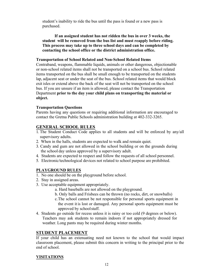student's inability to ride the bus until the pass is found or a new pass is purchased.

 **If an assigned student has not ridden the bus in over 3 weeks, the student will be removed from the bus list and must reapply before riding. This process may take up to three school days and can be completed by contacting the school office or the district administration office.**

#### **Transportation of School Related and Non-School Related Items**

Contraband, weapons, flammable liquids, animals or other dangerous, objectionable or non-school related items shall not be transported on a school bus. School related items transported on the bus shall be small enough to be transported on the students lap, adjacent seat or under the seat of the bus. School related items that would block exit isles or extend above the back of the seat will not be transported on the school bus. If you are unsure if an item is allowed, please contact the Transportation Department **prior to the day your child plans on transporting the material or object.**

#### **Transportation Questions**

Parents having any questions or requiring additional information are encouraged to contact the Gretna Public Schools administration building at 402-332-3265.

#### **GENERAL SCHOOL RULES**

- 1. The Student Conduct Code applies to all students and will be enforced by any/all supervisory adults.
- 2. When in the halls, students are expected to walk and remain quiet.
- 3. Candy and gum are not allowed in the school building or on the grounds during the school day unless approved by a supervisory adult.
- 4. Students are expected to respect and follow the requests of all school personnel.
- 5. Electronic/technological devices not related to school purpose are prohibited.

#### **PLAYGROUND RULES**

- 1. No one should be on the playground before school.
- 2. Stay in assigned areas.
- 3. Use acceptable equipment appropriately.
	- a. Hard baseballs are not allowed on the playground.
	- b. Only balls and Frisbees can be thrown (no rocks, dirt, or snowballs)
	- c.The school cannot be not responsible for personal sports equipment in the event it is lost or damaged. Any personal sports equipment must be approved by schoolstaff.
- 4. Students go outside for recess unless it is rainy or too cold (9 degrees or below). Teachers may ask students to remain indoors if not appropriately dressed for weather. Long pants may be required during winter months.

#### **STUDENT PLACEMENT**

If your child has an extenuating need not known to the school that would impact classroom placement, please submit this concern in writing to the principal prior to the end of school.

#### **VISITATIONS**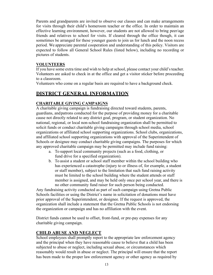Parents and grandparents are invited to observe our classes and can make arrangements for visits through their child's homeroom teacher or the office. In order to maintain an effective learning environment, however, our students are not allowed to bring peer/age friends and relatives to school for visits. If cleared through the office though, it can sometimes be arranged for these younger guests to join us for lunch and the noon recess period. We appreciate parental cooperation and understanding of this policy. Visitors are expected to follow all General School Rules (listed below), including no recording or pictures of students.

#### **VOLUNTEERS**

If you have some extra time and wish to help at school, please contact your child's teacher. Volunteers are asked to check in at the office and get a visitor sticker before proceeding to a classroom.

Volunteers who come on a regular basis are required to have a background check.

# **DISTRICT GENERAL INFORMATION**

# **CHARITABLE GIVING CAMPAIGNS**

A charitable giving campaign is fundraising directed toward students, parents, guardians, andpatrons conducted for the purpose of providing money for a charitable cause not directly related to any district goal, program, or student organization. No national, regional, or local non-school fundraising organization shall be permitted to solicit funds or conduct charitable giving campaigns through school media, school organizations or affiliated school supporting organizations. School clubs, organizations, and affiliated school supporting organizations with approval of the Superintendent of Schools or designee may conduct charitable giving campaigns. The purposes for which any approved charitable campaign may be permitted may include fund raising:

- a. To support local community projects (such as a food, clothing, or fund drive for a specified organization).
- b. To assist a student or school staff member within the school building who has experienced a catastrophe (injury to or illness of, for example, a student or staff member), subject to the limitation that such fund raising activity must be limited to the school building where the student attends or staff member is assigned, and may be held only once per school year, and there is no other community fund raiser for such person being conducted.

Any fundraising activity conducted as part of such campaign using Gretna Public Schools facilities or using the District's name in solicitation of donations must have prior approval of the Superintendent, or designee. If the request is approved, the organization shall include a statement that the Gretna Public Schools is not endorsing the organization or campaign and has no affiliation with the event.

District funds cannot be used to offset, front-fund, or pre-pay expenses for any charitable giving campaign.

# **CHILD ABUSE AND NEGLECT**

School employees shall promptly report to the appropriate law enforcement agency and the principal when they have reasonable cause to believe that a child has been subjected to abuse or neglect, including sexual abuse, or circumstances which reasonably would result in abuse or neglect. The principal will ensure that the report has been made to the proper law enforcement agency or other agency as required by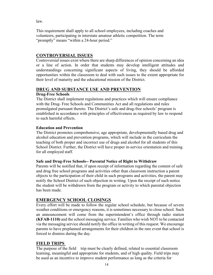law.

This requirement shall apply to all school employees, including coaches and volunteers, participating in interstate amateur athletic competition. The term "promptly" means "within a 24-hour period."

# **CONTROVERSIAL ISSUES**

Controversial issues exist where there are sharp differences of opinion concerning an idea or a line of action. In order that students may develop intelligent attitudes and understandings concerning significant aspects of living, they should be afforded opportunities within the classroom to deal with such issues to the extent appropriate for their level of maturity and the educational mission of the District.

# **DRUG AND SUBSTANCE USE AND PREVENTION**

### **Drug-Free Schools**

The District shall implement regulations and practices which will ensure compliance with the Drug- Free Schools and Communities Act and all regulations and rules promulgated pursuant thereto. The District's safe and drug-free schools' program is established in accordance with principles of effectiveness as required by law to respond to such harmful effects.

# **Education and Prevention**

The District promotes comprehensive, age appropriate, developmentally based drug and alcohol education and prevention programs, which will include in the curriculum the teaching of both proper and incorrect use of drugs and alcohol for all students of this School District. Further, the District will have proper in-service orientation and training for all employed staff.

#### **Safe and Drug-Free Schools-- Parental Notice of Right to Withdraw**

Parents will be notified that, if upon receipt of information regarding the content of safe and drug free school programs and activities other than classroom instruction a parent objects to the participation of their child in such programs and activities, the parent may notify the School District of such objection in writing. Upon the receipt of such notice the student will be withdrawn from the program or activity to which parental objection has been made.

# **EMERGENCY SCHOOL CLOSINGS**

Every effort will be made to follow the regular school schedule, but because of severe weather conditions or emergency reasons, it is sometimes necessary to close school. Such an announcement will come from the superintendent's office through radio station **(KFAB-1110)** and the school messaging service. Families who wish NOT to be contacted via the messaging service should notify the office in writing of this request. We encourage parents to have preplanned arrangements for their children in the rare event that school is forced to dismiss during the day.

# **FIELD TRIPS**

The purpose of the field trip must be clearly defined, related to essential classroom learning, meaningful and appropriate for students, and of high quality. Field trips may be used as an incentive to improve student performance as long as the criteria for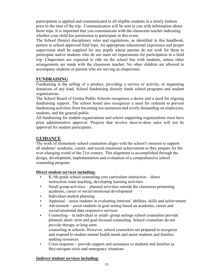participation is applied and communicated to all eligible students in a timely fashion prior to the time of the trip. Communication will be sent to you with information about these trips. It is important that you communicate with the classroom teacher indicating whether your child has permission to participate in this event.

The School District disciplinary rules and regulations, as identified in this handbook, pertain to school approved field trips. An appropriate educational experience and proper supervision shall be supplied for any pupils whose parents do not wish for them to participate and/or students who do not meet set expectations for participation in a field trip. Chaperones are expected to ride on the school bus with students, unless other arrangements are made with the classroom teacher. No other children are allowed to accompany students or parents who are serving as chaperones.

# **FUNDRAISING**

Fundraising is the selling of a product, providing a service or activity, or requesting donations of any kind. School fundraising directly funds school programs and student organizations.

The School Board of Gretna Public Schools recognizes a desire and a need for ongoing fundraising support. The school board also recognizes a need for restraint to prevent fundraising activities from becoming too numerous and overly demanding on employees, students, and the general public.

All fundraising for student organizations and school supporting organizations must have prior administrative approval. Projects that involve door-to-door sales will not be approved for student participants.

# **GUIDANCE**

The work of elementary school counselors aligns with the school's mission to support all students' academic, career, and social emotional achievement as they prepare for the ever-changing world of the 21st century. This alignment is accomplished through the design, development, implementation and evaluation of a comprehensive school counseling program.

#### **Direct student services including:**

- K-5th grade school counseling core curriculum instruction direct instruction, team teaching, developing learning activities
- Small group activities planned activities outside the classroom promoting academic, career or social/emotional development
- Individual student planning
- Appraisal assist students in evaluating interests' abilities, skills and achievement
- Advisement assist students in goal setting based on academic, career and social/emotional data responsive services
- Counseling in individual or small- group settings school counselors provide planned, short- term and goal-focused counseling. School counselors do not provide therapy or long-term counseling in schools. However, school counselors are prepared to recognize and respond to student mental health needs and assist students and families
- Crisis response provide support and assistance to students and families as they navigate crisis and emergency situations

#### **Indirect student services including:**

seeking resources.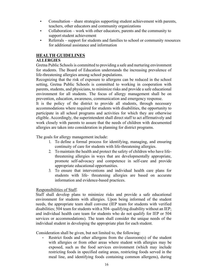- Consultation share strategies supporting student achievement with parents, teachers, other educators and community organizations
- Collaboration work with other educators, parents and the community to support student achievement
- Referrals support for students and families to school or community resources for additional assistance and information

# **HEALTH GUIDELINES**

#### **ALLERGIES**

Gretna Public Schools is committed to providing a safe and nurturing environment for students. The Board of Education understands the increasing prevalence of life-threatening allergies among school populations.

Recognizing that the risk of exposure to allergens can be reduced in the school setting, Gretna Public Schools is committed to working in cooperation with parents, students, and physicians, to minimize risks and provide a safe educational environment for all students. The focus of allergy management shall be on prevention, education, awareness, communication and emergency response.

It is the policy of the district to provide all students, through necessary accommodations where required for students with disabilities, the opportunity to participate in all school programs and activities for which they are otherwise eligible. Accordingly, the superintendent shall direct staff to act affirmatively and work closely with parents to assure that the needs of children with documented allergies are taken into consideration in planning for district programs.

The goals for allergy management include:

- 1. To define a formal process for identifying, managing, and ensuring continuity of care for students with life-threatening allergies.
- 2. To maintain the health and protect the safety of children who have lifethreatening allergies in ways that are developmentally appropriate, promote self-advocacy and competence in self-care and provide appropriate educational opportunities.
- 3. To ensure that interventions and individual health care plans for students with life- threatening allergies are based on accurate information and evidence-based practices.

# Responsibilities of Staff.

Staff shall develop plans to minimize risks and provide a safe educational environment for students with allergies. Upon being informed of the student needs, the appropriate team shall convene (IEP team for students with verified disabilities; 504 team for students with a 504- qualifying disability without an IEP; and individual health care team for students who do not qualify for IEP or 504 services or accommodations). The team shall consider the unique needs of the individual student in developing the appropriate plan for each student.

Consideration shall be given, but not limited to, the following:

Restrict foods and other allergens from the classroom(s) of the student with allergies or from other areas where student with allergies may be exposed, such as the food services environment (which may include restricting foods in specified eating areas, restricting foods served in the meal line, and identifying foods containing common allergens), during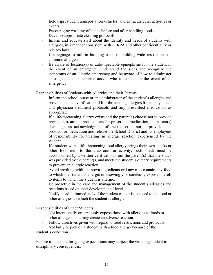field trips, student transportation vehicles, and extracurricular activities or events.

- Encouraging washing of hands before and after handling foods.
- Develop appropriate cleaning protocols.
- Inform and educate staff about the identity and needs of students with allergies, in a manner consistent with FERPA and other confidentiality or privacy laws.
- Use signage to inform building users of building-wide restrictions on common allergens.
- Be aware of location(s) of auto-injectable epinephrine for the student in the event of an emergency, understand the signs and recognize the symptoms of an allergic emergency and be aware of how to administer auto-injectable epinephrine and/or who to contact in the event of an emergency.

Responsibilities of Students with Allergies and their Parents.

- Inform the school nurse or an administrator of the student's allergies and provide medical verification of life-threatening allergies from a physician, and physician treatment protocols and any prescribed medication as appropriate.
- If a life-threatening allergy exists and the parent(s) choose not to provide physician treatment protocols and/or prescribed medication, the parent(s) shall sign an acknowledgment of their election not to provide such protocol or medication and release the School District and its employees of responsibility for treating an allergic reaction experienced by the student.
- If a student with a life-threatening food allergy brings their own snacks or other food item to the classroom or activity, such snack must be accompanied by a written verification from the parent(s) that the snack was provided by the parent(s) and meets the student's dietary requirements to prevent an allergic reaction.
- Avoid anything with unknown ingredients or known to contain any food to which the student is allergic or knowingly or carelessly expose oneself to items to which the student is allergic.
- Be proactive in the care and management of the student's allergies and reactions based on their developmental level.
- Notify an adult immediately if the student eats or is exposed to the food or other allergies to which the student is allergic.

Responsibilities of Other Students.

- Not intentionally or carelessly expose those with allergies to foods or other allergens that may create an adverse reaction.
- Follow directives given with regard to food restrictions and protocols.
- Not bully or pick on a student with a food allergy because of the student's condition.

Failure to meet the foregoing expectations may subject the violating student to disciplinary consequences.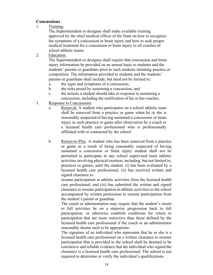#### **Concussions**

1. Training.

The Superintendent or designee shall make available training approved by the chief medical officer of the State on how to recognize the symptoms of a concussion or brain injury and how to seek proper medical treatment for a concussion or brain injury to all coaches of school athletic teams.

2. Education.

The Superintendent or designee shall require that concussion and brain injury information be provided on an annual basis to students and the students' parents or guardians prior to such students initiating practice or competition. The information provided to students and the students' parents or guardians shall include, but need not be limited to:

- a. the signs and symptoms of a concussion;
- b. the risks posed by sustaining a concussion; and
- c. the actions a student should take in response to sustaining a concussion, including the notification of his or her coaches.
- 3. Response to Concussions.
	- a. Removal. A student who participates on a school athletic team shall be removed from a practice or game when he or she is reasonably suspected of having sustained a concussion or brain injury in such practice or game after observation by a coach or a licensed health care professional who is professionally affiliated with or contracted by the school.
	- b. Return-to-Play. A student who has been removed from a practice or game as a result of being reasonably suspected of having sustained a concussion or brain injury student shall not be permitted to participate in any school supervised team athletic activities involving physical exertion, including, but not limited to, practices or games, until the student: (i) has been evaluated by a licensed health care professional, (ii) has received written and signed clearance to

resume participation in athletic activities from the licensed health care professional, and (iii) has submitted the written and signed clearance to resume participation in athletic activities to the school accompanied by written permission to resume participation from the student's parent or guardian.

The coach or administration may require that the student's return to full activities be on a stepwise progression back to full participation, or otherwise establish conditions for return to participation that are more restrictive than those defined by the licensed health care professional if the coach or an administrator reasonably deems such to be appropriate.

The signature of an individual who represents that he or she is a licensed health care professional on a written clearance to resume participation that is provided to the school shall be deemed to be conclusive and reliable evidence that the individual who signed the clearance is a licensed health care professional. The school is not required to determine or verify the individual's qualifications.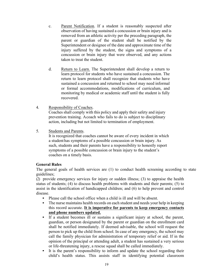- c. Parent Notification. If a student is reasonably suspected after observation of having sustained a concussion or brain injury and is removed from an athletic activity per the preceding paragraph, the parent or guardian of the student shall be notified by the Superintendent or designee of the date and approximate time of the injury suffered by the student, the signs and symptoms of a concussion or brain injury that were observed, and any actions taken to treat the student.
- d. Return to Learn. The Superintendent shall develop a return to learn protocol for students who have sustained a concussion. The return to learn protocol shall recognize that students who have sustained a concussion and returned to school may need informal or formal accommodations, modifications of curriculum, and monitoring by medical or academic staff until the student is fully recovered.
- 4. Responsibility of Coaches. Coaches shall comply with this policy and apply their safety and injury prevention training. Acoach who fails to do is subject to disciplinary action, including but not limited to termination of employment.
- 5. Students and Parents.

It is recognized that coaches cannot be aware of every incident in which a student has symptoms of a possible concussion or brain injury. As such, students and their parents have a responsibility to honestly report symptoms of a possible concussion or brain injury to the student's coaches on a timely basis.

#### **General Rules**

The general goals of health services are (1) to conduct health screening according to state guidelines;

(2) provide emergency services for injury or sudden illness; (3) to appraise the health status of students; (4) to discuss health problems with students and their parents; (5) to assist in the identification of handicapped children; and (6) to help prevent and control disease.

- Please call the school office when a child is ill and will be absent.
- The nurse maintains health records on each student and needs your help in keeping this record accurate. **It is imperative for parents to keep emergency contacts and phone numbers updated.**
- If a student becomes ill or sustains a significant injury at school, the parent, guardian, or person designated by the parent or guardian on the enrollment card shall be notified immediately. If deemed advisable, the school will request the person to pick up the child from school. In case of any emergency, the school may call the family physician for administration of temporary relief or aid. If in the opinion of the principal or attending adult, a student has sustained a very serious or life-threatening injury, a rescue squad shall be called immediately.
- It is the parent's responsibility to inform and update the school regarding their child's health status. This assists staff in identifying potential classroom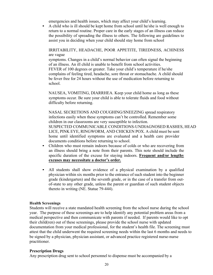emergencies and health issues, which may affect your child's learning.

A child who is ill should be kept home from school until he/she is well enough to return to a normal routine. Proper care in the early stages of an illness can reduce the possibility of spreading the illness to others. The following are guidelines to assist you in deciding when your child should stay home from school

IRRITABILITY, HEADACHE, POOR APPETITE, TIREDNESS, ACHINESS are vague

symptoms. Changes in a child's normal behavior can often signal the beginning of an illness. An ill child is unable to benefit from school activities. FEVER of 100 degrees or greater. Take your child's temperature if he/she complains of feeling tired, headache, sore throat or stomachache. A child should be fever free for 24 hours without the use of medication before returning to school.

NAUSEA, VOMITING, DIARRHEA. Keep your child home as long as these symptoms occur. Be sure your child is able to tolerate fluids and food without difficulty before returning.

NASAL SECRETIONS AND COUGHING/SNEEZING spread respiratory infections easily when these symptoms can't be controlled. Remember some children in our classrooms are very susceptible to infection. SUSPECTED COMMUNICABLE CONDITIONS-UNDIAGNOSED RASHES, HEAD LICE, PINK EYE, RINGWORM, AND CHICKEN POX. A child must be sent home until identified symptoms are evaluated and a health care provider documents conditions before returning to school.

- Children who must remain indoors because of colds or who are recovering from an illness should bring a note from their parents. This note should include the specific duration of the excuse for staying indoors. **Frequent and/or lengthy excuses may necessitate a doctor's order.**
- All students shall show evidence of a physical examination by a qualified physician within six months prior to the entrance of such student into the beginner grade (kindergarten) and the seventh grade, or in the case of a transfer from outof-state to any other grade, unless the parent or guardian of such student objects thereto in writing (NE. Statue 79-444).

#### **Health Screenings**

Students will receive a state mandated health screening from the school nurse during the school year. The purpose of these screenings are to help identify any potential problem areas from a medical perspective and then communicate with parents if needed. If parents would like to opt their child(ren) out of these screenings, please provide the school nurse with updated documentation from your medical professional, for the student's health file. The screening must attest that the child underwent the required screening needs within the last 6 months and needs to be signed by a physician, physician assistant, or advanced practice registered nurse-nurse practitioner.

#### **Prescription Drugs**

Any prescription drug sent to school personnel to dispense must be accompanied by a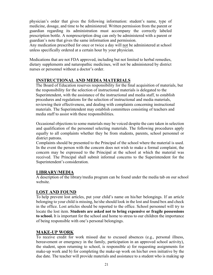physician's order that gives the following information: student's name, type of medicine, dosage, and time to be administered. Written permission from the parent or guardian regarding its administration must accompany the correctly labeled prescription bottle. A nonprescription drug can only be administered with a parent or guardian's note that gives the same information and permission.

Any medication prescribed for once or twice a day will not be administered at school unless specifically ordered at a certain hour by your physician.

Medications that are not FDA approved, including but not limited to herbal remedies, dietary supplements and naturopathic medicines, will not be administered by district nurses or personnel without a doctor's order.

### **INSTRUCTIONAL AND MEDIA MATERIALS**

The Board of Education reserves responsibility for the final acquisition of materials, but the responsibility for the selection of instructional materials is delegated to the Superintendent, with the assistance of the instructional and media staff, to establish procedures and regulations for the selection of instructional and media materials, reviewing their effectiveness, and dealing with complaints concerning instructional materials. The Superintendent may establish committees consisting of teachers and media staff to assist with these responsibilities.

Occasional objections to some materials may be voiced despite the care taken in selection and qualification of the personnel selecting materials. The following procedures apply equally to all complaints whether they be from students, parents, school personnel or district patrons.

Complaints should be presented to the Principal of the school where the material is used. In the event the person with the concern does not wish to make a formal complaint, the concern may be expressed to the Principal at the school at which the material was received. The Principal shall submit informal concerns to the Superintendent for the Superintendent's consideration.

#### **LIBRARY/MEDIA**

A description of the library/media program can be found under the media tab on our school website.

#### **LOST AND FOUND**

To help prevent lost articles, put your child's name on his/her belongings. If an article belonging to your child is missing, he/she should look in the lost and found box and check in the office. Lost articles should be reported to the office. School personnel will try to locate the lost item. **Students are asked not to bring expensive or fragile possessions to school.** It is important for the school and home to stress to our children the importance of being responsible with one's personal belongings.

#### **MAKE-UP WORK**

To receive credit for work missed due to excused absences (e.g., personal illness, bereavement or emergency in the family, participation in an approved school activity), the student, upon returning to school, is responsible a) for requesting assignments for make-up work and b) for completing the make-up work on his/her own initiative by the due date. The teacher will provide materials and assistance to a student who is making up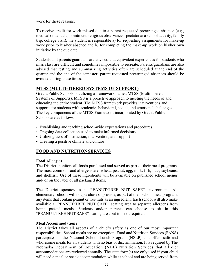work for these reasons.

To receive credit for work missed due to a parent requested prearranged absence (e.g., medical or dental appointment, religious observance, spectator at a school activity, family trip, college visit), the student is responsible a) for requesting assignments for make-up work prior to his/her absence and b) for completing the make-up work on his/her own initiative by the due date.

Students and parents/guardians are advised that equivalent experiences for students who miss class are difficult and sometimes impossible to recreate. Parents/guardians are also advised that testing and summarizing activities often are scheduled at the end of the quarter and the end of the semester; parent requested prearranged absences should be avoided during these times.

### **MTSS (MULTI-TIERED SYSTEMS OF SUPPORT)**

Gretna Public Schools is utilizing a framework named MTSS (Multi-Tiered Systems of Supports). MTSS is a proactive approach to meeting the needs of and educating the entire student. The MTSS framework provides interventions and supports for students with academic, behavioral, social, and emotional challenges. The key components of the MTSS Framework incorporated by Gretna Public Schools are as follows:

- Establishing and teaching school-wide expectations and procedures
- Ongoing data collection used to make informed decisions
- Utilizing tiers of instruction, intervention, and support
- Creating a positive climate and culture

# **FOOD AND NUTRITION SERVICES**

#### **Food Allergies**

The District monitors all foods purchased and served as part of their meal programs. The most common food allergens are; wheat, peanut, egg, milk, fish, nuts, soybeans, and shellfish. Use of these ingredients will be available on published school menus and/ or on the label of all packaged items.

The District operates as a "PEANUT/TREE NUT SAFE" environment. All elementary schools will not purchase or provide, as part of their school meal program, any items that contain peanut or tree nuts as an ingredient. Each school will also make available a "PEANUT/TREE NUT SAFE" seating area to separate allergens from home packed meals. Students and/or parents can choose to sit in this "PEANUT/TREE NUT SAFE" seating area but it is not required.

#### **Meal Accommodations**

The District takes all aspects of a child's safety as one of our most important responsibilities. School meals are no exception. Food and Nutrition Services (FANS) participates in the National School Lunch Program (NSLP) and offers safe and wholesome meals for all students with no bias or discrimination. It is required by The Nebraska Department of Education (NDE) Nutrition Services that all diet accommodations are reviewed annually. The state form(s) are only used if your child will need a meal or snack accommodation while at school and are being served from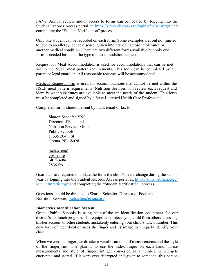FANS. Annual review and/or access to forms can be located by logging into the Student Records Access portal at: https://simsweb.esu3.org/login.cfm?sdist=grt and completing the "Student Verification" process.

Only one student can be recorded on each form. Some examples are, but not limited to; due to an allergy, celiac disease, gluten intolerance, lactose intolerance or another medical condition. There are two different forms available but only one form is needed based on the type of accommodation request.

Request for Meal Accommodation is used for accommodations that can be met within the NSLP meal pattern requirements. This form can be completed by a parent or legal guardian. All reasonable requests will be accommodated.

Medical Request Form is used for accommodations that cannot be met within the NSLP meal pattern requirements. Nutrition Services will review each request and identify what substitutes are available to meet the needs of the student. This form must be completed and signed by a State Licensed Health Care Professional.

Completed forms should be sent by mail, email or fax to:

Sharon Schaefer, SNS Director of Food and Nutrition Services Gretna Public Schools 11335 204th St Gretna, NE 68028

sschaefer@ gpsne.org (402) 408- 2535 fax

Guardians are required to update the form if a child's needs change during the school year by logging into the Student Records Access portal at: https://simsweb.esu3.org/ login.cfm?sdist=grt and completing the "Student Verification" process.

Questions should be directed to Sharon Schaefer, Director of Food and Nutrition Services, sschaefer@gpsne.org

#### **Biometrics Identification System**

Gretna Public Schools is using state-of-the-art identification equipment for our district's hot lunch program. This equipment protects your child from others accessing his/her account or other students mistakenly entering your child's lunch number. This new form of identification uses the finger and its image to uniquely identify your child.

When we enroll a finger, we do take a variable amount of measurements and the style of the fingerprint. The plan is to use the index finger on each hand. These measurements and style of fingerprint get converted to a number, which gets encrypted and stored. If it were ever decrypted and given to someone, this person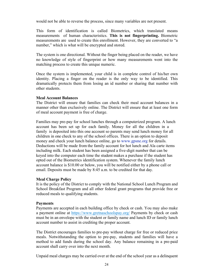would not be able to reverse the process, since many variables are not present.

This form of identification is called Biometrics, which translated means measurements of human characteristics. **This is not fingerprinting.** Biometric measurements are used to create this enrollment. However, they are converted to "a number," which is what will be encrypted and stored.

The system is one directional. Without the finger being placed on the reader, we have no knowledge of style of fingerprint or how many measurements went into the matching process to create this unique numeric.

Once the system is implemented, your child is in complete control of his/her own identity. Placing a finger on the reader is the only way to be identified. This dramatically protects them from losing an id number or sharing that number with other students.

#### **Meal Account Balances**

The District will ensure that families can check their meal account balances in a manner other than exclusively online. The District will ensure that at least one form of meal account payment is free of charge.

Families may pre-pay for school lunches through a computerized program. A lunch account has been set up for each family. Money for all the children in a family is deposited into this one account so parents may send lunch money for all children in one check to any of the school offices. There is an option to deposit money and check your lunch balance online, go to www.gpsne.org for details. Deductions will be made from the family account for hot lunch and Ala carte items including milk. Each student has been assigned a five-digit number that can be keyed into the computer each time the student makes a purchase if the student has opted out of the Biometrics identification system. Whenever the family lunch account balance is \$10.00 or below, you will be notified either by a phone call or email. Deposits must be made by 8:45 a.m. to be credited for that day.

#### **Meal Charge Policy**

It is the policy of the District to comply with the National School Lunch Program and School Breakfast Program and all other federal grant programs that provide free or reduced meals to qualifying students.

#### **Payments**

Payments are accepted in each building office by check or cash. You may also make a payment online at https://www.gretnaschoolspay.org/ Payments by check or cash must be in an envelope with the student or family name and lunch ID or family lunch account number to assist in crediting the proper account.

The District encourages families to pre-pay without charge for free or reduced price meals. Notwithstanding the option to pre-pay, students and families will have a method to add funds during the school day. Any balance remaining in a pre-paid account shall carry over into the next month.

Unpaid meal charges may be carried over at the end of the school year as a delinquent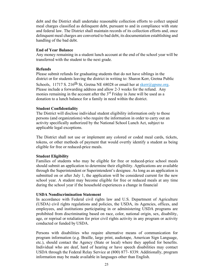debt and the District shall undertake reasonable collection efforts to collect unpaid meal charges classified as delinquent debt, pursuant to and in compliance with state and federal law. The District shall maintain records of its collection efforts and, once delinquent meal charges are converted to bad debt, its documentation establishing and handling of the bad debt.

#### **End of Year Balance**

Any money remaining in a student lunch account at the end of the school year will be transferred with the student to the next grade.

#### **Refunds**

Please submit refunds for graduating students that do not have siblings in the district or for students leaving the district in writing to: Sharon Kerr, Gretna Public Schools, 11717 S. 216<sup>th</sup> St, Gretna NE 68028 or email her at skerr@gpsne.org. Please include a forwarding address and allow 2-3 weeks for the refund. Any monies remaining in the account after the  $3<sup>rd</sup>$  Friday in June will be used as a donation to a lunch balance for a family in need within the district.

#### **Student Confidentiality**

The District will disclose individual student eligibility information only to those persons (and organizations) who require the information in order to carry out an activity specifically authorized by the National School Lunch Act, subject to applicable legal exceptions.

The District shall not use or implement any colored or coded meal cards, tickets, tokens, or other methods of payment that would overtly identify a student as being eligible for free or reduced-price meals.

#### **Student Eligibility**

Families of students who may be eligible for free or reduced-price school meals should submit an application to determine their eligibility. Applications are available through the Superintendent or Superintendent's designee. As long as an application is submitted on or after July 1, the application will be considered current for the new school year. A student may become eligible for free or reduced meals at any time during the school year if the household experiences a change in financial

#### **USDA Nondiscrimination Statement**

In accordance with Federal civil rights law and U.S. Department of Agriculture (USDA) civil rights regulations and policies, the USDA, its Agencies, offices, and employees, and institutions participating in or administering USDA programs are prohibited from discriminating based on race, color, national origin, sex, disability, age, or reprisal or retaliation for prior civil rights activity in any program or activity conducted or funded by USDA.

Persons with disabilities who require alternative means of communication for program information (e.g. Braille, large print, audiotape, American Sign Language, etc.), should contact the Agency (State or local) where they applied for benefits. Individual who are deaf, hard of hearing or have speech disabilities may contact USDA through the Federal Relay Service at (800) 877- 8339. Additionally, program information may be made available in languages other than English.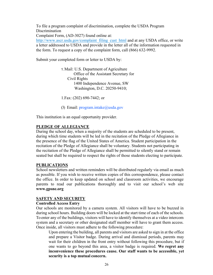To file a program complaint of discrimination, complete the USDA Program **Discrimination** Complaint Form, (AD-3027) found online at: http://www.ascr.usda.gov/complaint\_filing\_cust\_html and at any USDA office, or write

a letter addressed to USDA and provide in the letter all of the information requested in the form. To request a copy of the complaint form, call (866) 632-9992.

Submit your completed form or letter to USDA by:

1.Mail: U.S. Department of Agriculture Office of the Assistant Secretary for Civil Rights 1400 Independence Avenue, SW Washington, D.C. 20250-9410;

1.Fax: (202) 690-7442; or

(3) Email:  $program.intake@useda.gov$ 

This institution is an equal opportunity provider.

#### **PLEDGE OF ALLEGIANCE**

During the school day, when a majority of the students are scheduled to be present, during which time students will be led in the recitation of the Pledge of Allegiance in the presence of the flag of the United States of America. Student participation in the recitation of the Pledge of Allegiance shall be voluntary. Students not participating in the recitation of the Pledge of Allegiance shall be permitted to silently stand or remain seated but shall be required to respect the rights of those students electing to participate.

#### **PUBLICATIONS**

School newsletters and written reminders will be distributed regularly via email as much as possible. If you wish to receive written copies of this correspondence, please contact the office. In order to keep updated on school and classroom activities, we encourage parents to read our publications thoroughly and to visit our school's web site **www.gpsne.org**

#### **SAFETY AND SECURITY**

#### **Controlled Access Entry**

Our schools are monitored by a camera system. All visitors will have to be buzzed in during school hours. Building doors will be locked at the start time of each of the schools. To enter any of the buildings, visitors will have to identify themselves at a video intercom system and a secretary or other designated staff member will have to grant them access. Once inside, all visitors must adhere to the following procedure:

Upon entering the building, all parents and visitors are asked to sign in at the office and prepare a Visitor badge. During arrival and dismissal periods, parents may wait for their children in the front entry without following this procedure, but if one wants to go beyond this area, a visitor badge is required. **We regret any inconvenience these procedures cause. Our staff wants to be accessible, yet security is a top mutual concern.**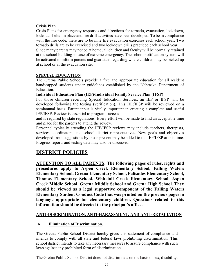#### **Crisis Plan**

Crisis Plans for emergency responses and directions for tornado, evacuation, lockdown, lockout, shelter in place and fire drill activities have been developed. To be in compliance with the fire code, there are to be nine fire evacuation exercises each school year. Two tornado drills are to be exercised and two lockdown drills practiced each school year.

Since many parents may not be at home, all children and faculty will be normally retained at the school building in case of extreme emergency. The school notification system will be activated to inform parents and guardians regarding where children may be picked up at school or at the evacuation site.

### **SPECIAL EDUCATION**

The Gretna Public Schools provide a free and appropriate education for all resident handicapped students under guidelines established by the Nebraska Department of Education.

#### **Individual Education Plan (IEP)/Individual Family Service Plan (IFSP)**

For those children receiving Special Education Services, an IEP or IFSP will be developed following the testing (verification). This IEP/IFSP will be reviewed on a semiannual basis. Parent input is vitally important in creating a complete and useful IEP/IFSP. Review is essential to program success

and is required by state regulations. Every effort will be made to find an acceptable time and place for the parents to attend the review.

Personnel typically attending the IEP/IFSP reviews may include teachers, therapists, services coordinators, and school district representatives. New goals and objectives developed from suggestions by those present may be added to the IEP/IFSP at this time. Progress reports and testing data may also be discussed.

# **DISTRICT POLICIES**

**ATTENTION TO ALL PARENTS: The following pages of rules, rights and procedures apply to Aspen Creek Elementary School, Falling Waters Elementary School, Gretna Elementary School, Palisades Elementary School, Thomas Elementary School, Whitetail Creek Elementary School, Aspen Creek Middle School, Gretna Middle School and Gretna High School. They should be viewed as a legal supportive component of the Falling Waters Elementary Student Conduct Code that was printed on the previous pages in language appropriate for elementary children. Questions related to this information should be directed to the principal's office.**

# **ANTI-DISCRIMINATION, ANTI-HARASSMENT, AND ANTI-RETALIATION**

# **A. Elimination of Discrimination.**

The Gretna Public School District hereby gives this statement of compliance and intends to comply with all state and federal laws prohibiting discrimination. This school district intends to take any necessary measures to assure compliance with such laws against any prohibited form of discrimination.

The Gretna Public School District does not discriminate on the basis of sex, disability,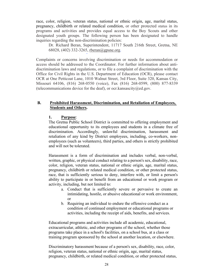race, color, religion, veteran status, national or ethnic origin, age, marital status, pregnancy, childbirth or related medical condition, or other protected status in its programs and activities and provides equal access to the Boy Scouts and other designated youth groups. The following person has been designated to handle inquiries regarding the non-discrimination policies:

Dr. Richard Beran, Superintendent, 11717 South 216th Street, Gretna, NE 68028, (402) 332-3265, rberan@gpsne.org.

Complaints or concerns involving discrimination or needs for accommodation or access should be addressed to the Coordinator. For further information about antidiscrimination laws and regulations, or to file a complaint of discrimination with the Office for Civil Rights in the U.S. Department of Education (OCR), please contact OCR at One Petticoat Lane, 1010 Walnut Street, 3rd Floor, Suite 320, Kansas City, Missouri 64106, (816) 268-0550 (voice), Fax (816) 268-0599, (800) 877-8339 (telecommunications device for the deaf), or ocr. kansascity@ed.gov.

#### **B. Prohibited Harassment, Discrimination, and Retaliation of Employees, Students and Others.**

#### **1. Purpose**:

The Gretna Public School District is committed to offering employment and educational opportunity to its employees and students in a climate free of discrimination. Accordingly, unlawful discrimination, harassment and retaliation of any kind by District employees, including, co-workers, nonemployees (such as volunteers), third parties, and others is strictly prohibited and will not be tolerated.

Harassment is a form of discrimination and includes verbal, non-verbal, written, graphic, or physical conduct relating to a person's sex, disability, race, color, religion, veteran status, national or ethnic origin, age, marital status, pregnancy, childbirth or related medical condition, or other protected status, race, that is sufficiently serious to deny, interfere with, or limit a person's ability to participate in or benefit from an educational or work program or activity, including, but not limited to:

- a. Conduct that is sufficiently severe or pervasive to create an intimidating, hostile, or abusive educational or work environment, or
- b. Requiring an individual to endure the offensive conduct as a condition of continued employment or educational programs or activities, including the receipt of aids, benefits, and services.

Educational programs and activities include all academic, educational, extracurricular, athletic, and other programs of the school, whether those programs take place in a school's facilities, on a school bus, at a class or training program sponsored by the school at another location, or elsewhere.

Discriminatory harassment because of a person's sex, disability, race, color, religion, veteran status, national or ethnic origin, age, marital status, pregnancy, childbirth, or related medical condition, or other protected status,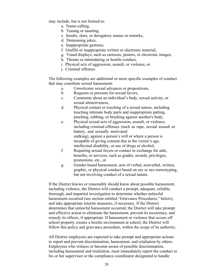may include, but is not limited to:

- a. Name-calling,
- b. Teasing or taunting,
- c. Insults, slurs, or derogatory names or remarks,
- d. Demeaning jokes,
- e. Inappropriate gestures,
- f. Graffiti or inappropriate written or electronic material,
- g. Visual displays, such as cartoons, posters, or electronic images,
- h. Threats or intimidating or hostile conduct,
- i. Physical acts of aggression, assault, or violence, or
- j. Criminal offenses

The following examples are additional or more specific examples of conduct that may constitute sexual harassment:

- a. Unwelcome sexual advances or propositions,
- b. Requests or pressure for sexual favors,
- c. Comments about an individual's body, sexual activity, or sexual attractiveness,
- d. Physical contact or touching of a sexual nature, including touching intimate body parts and inappropriate patting, pinching, rubbing, or brushing against another's body,
- e. Physical sexual acts of aggression, assault, or violence, including criminal offenses (such as rape, sexual assault or battery, and sexually motivated stalking), against a person's will or where a person is incapable of giving consent due to the victim's age, intellectual disability, or use of drugs or alcohol,
- f. Requiring sexual favors or contact in exchange for aids, benefits, or services, such as grades, awards, privileges, promotions, etc., or
- g. Gender-based harassment; acts of verbal, nonverbal, written, graphic, or physical conduct based on sex or sex-stereotyping, but not involving conduct of a sexual nature.

If the District knows or reasonably should know about possible harassment, including violence, the District will conduct a prompt, adequate, reliable, thorough, and impartial investigation to determine whether unlawful harassment occurred (see section entitled "Grievance Procedures," below), and take appropriate interim measures, if necessary. If the District determines that unlawful harassment occurred, the District will take prompt and effective action to eliminate the harassment, prevent its recurrence, and remedy its effects, if appropriate. If harassment or violence that occurs off school property creates a hostile environment at school, the District will follow this policy and grievance procedure, within the scope of its authority.

All District employees are expected to take prompt and appropriate actions to report and prevent discrimination, harassment, and retaliation by others. Employees who witness or become aware of possible discrimination, including harassment and retaliation, must immediately report the conduct to his or her supervisor or the compliance coordinator designated to handle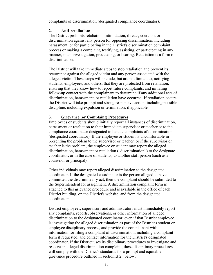complaints of discrimination (designated compliance coordinator).

#### **2. Anti-retaliation:**

The District prohibits retaliation, intimidation, threats, coercion, or discrimination against any person for opposing discrimination, including harassment, or for participating in the District's discrimination complaint process or making a complaint, testifying, assisting, or participating in any manner, in an investigation, proceeding, or hearing. Retaliation is a form of discrimination.

The District will take immediate steps to stop retaliation and prevent its recurrence against the alleged victim and any person associated with the alleged victim. These steps will include, but are not limited to, notifying students, employees, and others, that they are protected from retaliation, ensuring that they know how to report future complaints, and initiating follow-up contact with the complainant to determine if any additional acts of discrimination, harassment, or retaliation have occurred. If retaliation occurs, the District will take prompt and strong responsive action, including possible discipline, including expulsion or termination, if applicable.

#### **3. Grievance (or Complaint) Procedures**:

Employees or students should initially report all instances of discrimination, harassment or retaliation to their immediate supervisor or teacher or to the compliance coordinator designated to handle complaints of discrimination (designated coordinator). If the employee or student is uncomfortable in presenting the problem to the supervisor or teacher, or if the supervisor or teacher is the problem, the employee or student may report the alleged discrimination, harassment or retaliation ("discrimination") to the designate coordinator, or in the case of students, to another staff person (such as a counselor or principal).

Other individuals may report alleged discrimination to the designated coordinator. If the designated coordinator is the person alleged to have committed the discriminatory act, then the complaint should be submitted to the Superintendent for assignment. A discrimination complaint form is attached to this grievance procedure and is available in the office of each District building, on the District's website, and from the designated coordinators.

District employees, supervisors and administrators must immediately report any complaints, reports, observations, or other information of alleged discrimination to the designated coordinator, even if that District employee is investigating the alleged discrimination as part of the District's student or employee disciplinary process, and provide the complainant with information for filing a complaint of discrimination, including a complaint form if requested, and contact information for the District's designated coordinator. If the District uses its disciplinary procedures to investigate and resolve an alleged discrimination complaint, those disciplinary procedures will comply with the District's standards for a prompt and equitable grievance procedure outlined in section B.2., below.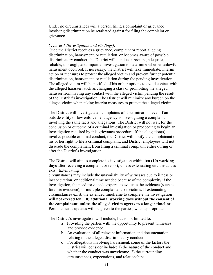Under no circumstances will a person filing a complaint or grievance involving discrimination be retaliated against for filing the complaint or grievance.

#### *i.*: *Level 1 (Investigation and Findings):*

Once the District receives a grievance, complaint or report alleging discrimination, harassment, or retaliation, or becomes aware of possible discriminatory conduct, the District will conduct a prompt, adequate, reliable, thorough, and impartial investigation to determine whether unlawful harassment occurred. If necessary, the District will take immediate, interim action or measures to protect the alleged victim and prevent further potential discrimination, harassment, or retaliation during the pending investigation. The alleged victim will be notified of his or her options to avoid contact with the alleged harasser, such as changing a class or prohibiting the alleged harasser from having any contact with the alleged victim pending the result of the District's investigation. The District will minimize any burden on the alleged victim when taking interim measures to protect the alleged victim.

The District will investigate all complaints of discrimination, even if an outside entity or law enforcement agency is investigating a complaint involving the same facts and allegations. The District will not wait for the conclusion or outcome of a criminal investigation or proceeding to begin an investigation required by this grievance procedure. If the allegation(s) involve possible criminal conduct, the District will notify the complainant of his or her right to file a criminal complaint, and District employees will not dissuade the complainant from filing a criminal complaint either during or after the District's investigation.

The District will aim to complete its investigation within **ten (10) working days** after receiving a complaint or report, unless extenuating circumstances exist. Extenuating

circumstances may include the unavailability of witnesses due to illness or incapacitation, or additional time needed because of the complexity if the investigation, the need for outside experts to evaluate the evidence (such as forensic evidence), or multiple complainants or victims. If extenuating circumstances exist, the extended timeframe to complete the investigation will **not exceed ten (10) additional working days without the consent of the complainant, unless the alleged victim agrees to a longer timeline.**  Periodic status updates will be given to the parties, when appropriate.

The District's investigation will include, but is not limited to:

- a. Providing the parties with the opportunity to present witnesses and provide evidence.
- b. An evaluation of all relevant information and documentation relating to the alleged discriminatory conduct.
- c. For allegations involving harassment, some of the factors the District will consider include: 1) the nature of the conduct and whether the conduct was unwelcome, 2) the surrounding circumstances, expectations, and relationships,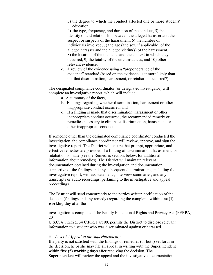3) the degree to which the conduct affected one or more students' education,

4) the type, frequency, and duration of the conduct, 5) the identity of and relationship between the alleged harasser and the suspect or suspects of the harassment, 6) the number of individuals involved, 7) the age (and sex, if applicable) of the alleged harasser and the alleged victim(s) of the harassment, 8) the location of the incidents and the context in which they occurred, 9) the totality of the circumstances, and 10) other relevant evidence.

d. A review of the evidence using a "preponderance of the evidence" standard (based on the evidence, is it more likely than not that discrimination, harassment, or retaliation occurred?)

The designated compliance coordinator (or designated investigator) will complete an investigative report, which will include:

- a. A summary of the facts,
- b. Findings regarding whether discrimination, harassment or other inappropriate conduct occurred, and
- c. If a finding is made that discrimination, harassment or other inappropriate conduct occurred, the recommended remedy or remedies necessary to eliminate discrimination, harassment or other inappropriate conduct

If someone other than the designated compliance coordinator conducted the investigation, the compliance coordinator will review, approve, and sign the investigative report. The District will ensure that prompt, appropriate, and effective remedies are provided if a finding of discrimination, harassment, or retaliation is made (see the Remedies section, below, for additional information about remedies). The District will maintain relevant documentation obtained during the investigation and documentation supportive of the findings and any subsequent determinations, including the investigative report, witness statements, interview summaries, and any transcripts or audio recordings, pertaining to the investigative and appeal proceedings.

The District will send concurrently to the parties written notification of the decision (findings and any remedy) regarding the complaint within **one (1) working day** after the

investigation is completed. The Family Educational Rights and Privacy Act (FERPA), 20

U.S.C. § 11232g; 34 C.F.R. Part 99, permits the District to disclose relevant information to a student who was discriminated against or harassed.

#### *ii. Level 2 (Appeal to the Superintendent)*:

If a party is not satisfied with the findings or remedies (or both) set forth in the decision, he or she may file an appeal in writing with the Superintendent within **five (5) working days** after receiving the decision. The Superintendent will review the appeal and the investigative documentation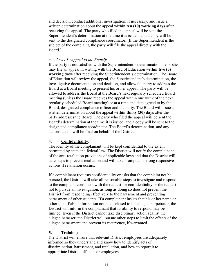and decision, conduct additional investigation, if necessary, and issue a written determination about the appeal **within ten (10) working days** after receiving the appeal. The party who filed the appeal will be sent the Superintendent's determination at the time it is issued, and a copy will be sent to the designated compliance coordinator. [If the Superintendent is the subject of the complaint, the party will file the appeal directly with the Board.]

#### *iii. Level 3 (Appeal to the Board)*:

If the party is not satisfied with the Superintendent's determination, he or she may file an appeal in writing with the Board of Education **within five (5) working days** after receiving the Superintendent's determination. The Board of Education will review the appeal, the Superintendent's determination, the investigative documentation and decision, and allow the party to address the Board at a Board meeting to present his or her appeal. The party will be allowed to address the Board at the Board's next regularly scheduled Board meeting (unless the Board receives the appeal within one week of the next regularly scheduled Board meeting) or at a time and date agreed to by the Board, designated compliance officer and the party. The Board will issue a written determination about the appeal **within thirty (30) days** after the party addresses the Board. The party who filed the appeal will be sent the Board's determination at the time it is issued, and a copy will be sent to the designated compliance coordinator. The Board's determination, and any actions taken, will be final on behalf of the District.

#### **4. Confidentiality:**

The identity of the complainant will be kept confidential to the extent permitted by state and federal law. The District will notify the complainant of the anti-retaliation provisions of applicable laws and that the District will take steps to prevent retaliation and will take prompt and strong responsive actions if retaliation occurs.

If a complainant requests confidentiality or asks that the complaint not be pursued, the District will take all reasonable steps to investigate and respond to the complaint consistent with the request for confidentiality or the request not to pursue an investigation, as long as doing so does not prevent the District from responding effectively to the harassment and preventing harassment of other students. If a complainant insists that his or her name or other identifiable information not be disclosed to the alleged perpetrator, the District will inform the complainant that its ability to respond may be limited. Even if the District cannot take disciplinary action against the alleged harasser, the District will pursue other steps to limit the effects of the alleged harassment and prevent its recurrence, if warranted,

#### **5. Training:**

The District will ensure that relevant District employees are adequately informed so they understand and know how to identify acts of discrimination, harassment, and retaliation, and how to report it to appropriate District officials or employees.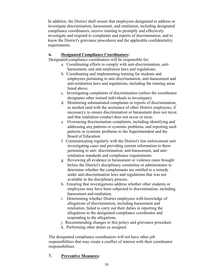In addition, the District shall ensure that employees designated to address or investigate discrimination, harassment, and retaliation, including designated compliance coordinators, receive training to promptly and effectively investigate and respond to complaints and reports of discrimination, and to know the District's grievance procedures and the applicable confidentiality requirements.

# **6. Designated Compliance Coordinators:**

Designated compliance coordinators will be responsible for:

- a. Coordinating efforts to comply with anti-discrimination, antiharassment, and anti-retaliation laws and regulations.
- b. Coordinating and implementing training for students and employees pertaining to anti-discrimination, anti-harassment and anti-retaliation laws and regulations, including the training areas listed above.
- c. Investigating complaints of discrimination (unless the coordinator designates other trained individuals to investigate).
- d. Monitoring substantiated complaints or reports of discrimination, as needed (and with the assistance of other District employees, if necessary), to ensure discrimination or harassment does not recur, and that retaliation conduct does not occur or recur.
- e. Overseeing discrimination complaints, including identifying and addressing any patterns or systemic problems, and reporting such patterns or systemic problems to the Superintendent and the Board of Education.
- f. Communicating regularly with the District's law enforcement unit investigating cases and providing current information to them pertaining to anti- discrimination, anti-harassment, and antiretaliation standards and compliance requirements.
- g. Reviewing all evidence in harassment or violence cases brought before the District's disciplinary committee or administrator to determine whether the complainants are entitled to a remedy under anti-discrimination laws and regulations that was not available in the disciplinary process.
- h. Ensuring that investigations address whether other students or employees may have been subjected to discrimination, including harassment and retaliation.
- i. Determining whether District employees with knowledge of allegations of discrimination, including harassment and retaliation, failed to carry out their duties in reporting the allegations to the designated compliance coordinator and responding to the allegations.
- j. Recommending changes to this policy and grievance procedure.
- k. Performing other duties as assigned.

The designated compliance coordinators will not have other job responsibilities that may create a conflict of interest with their coordinator responsibilities.

# **7. Preventive Measures:**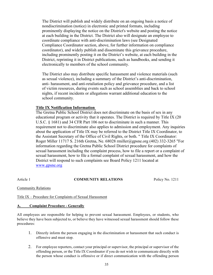The District will publish and widely distribute on an ongoing basis a notice of nondiscrimination (notice) in electronic and printed formats, including prominently displaying the notice on the District's website and posting the notice at each building in the District. The District also will designate an employee to coordinate compliance with anti-discrimination laws (see Designated Compliance Coordinator section, above, for further information on compliance coordinator), and widely publish and disseminate this grievance procedure, including prominently posting it on the District's website, at each building in the District, reprinting it in District publications, such as handbooks, and sending it electronically to members of the school community.

The District also may distribute specific harassment and violence materials (such as sexual violence), including a summary of the District's anti-discrimination, anti- harassment, and anti-retaliation policy and grievance procedure, and a list of victim resources, during events such as school assemblies and back to school nights, if recent incidents or allegations warrant additional education to the school community.

#### **Title IX Notification Information**

The Gretna Public School District does not discriminate on the basis of sex in any educational program or activity that it operates. The District is required by Title IX (20 U.S.C. § 1681) and 34 CFR Part 106 not to discriminate in such a manner. This requirement not to discriminate also applies to admission and employment. Any inquiries about the application of Title IX may be referred to the District Title IX Coordinator, to the Assistant Secretary of the Office of Civil Rights, or both. " Title IX Coordinator: Roger Miller 11717 S. 216th Gretna, Ne. 68028 rmiller@gpsne.org (402) 332-3265 "For information regarding the Gretna Public School District procedure for complaints of sexual harassment including the complaint process, how to file a report or a complaint of sexual harassment, how to file a formal complaint of sexual harassment, and how the District will respond to such complaints see Board Policy 1211 located at www.gpsne.org

#### Article 1 **COMMUNITY RELATIONS** Policy No. 1211

Community Relations

#### Title IX – Procedure for Complaints of Sexual Harassment

#### **A. Complaint Procedure - Generally**

All employees are responsible for helping to prevent sexual harassment. Employees, or students, who believe they have been subjected to, or believe they have witnessed sexual harassment should follow these procedures:

- 1. Directly inform the person engaging in the discrimination or harassment that such conduct is offensive and must stop.
- 2. For employee reporters, contact your principal or supervisor, the principal or supervisor of the offending person, or the Title IX Coordinator if you do not wish to communicate directly with the person whose conduct is offensive or if direct communication with the offending person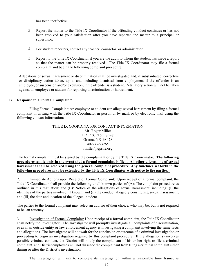has been ineffective.

- 3. Report the matter to the Title IX Coordinator if the offending conduct continues or has not been resolved to your satisfaction after you have reported the matter to a principal or supervisor.
- 4. For student reporters, contact any teacher, counselor, or administrator.
- 5. Report to the Title IX Coordinator if you are the adult to whom the student has made a report so that the matter can be properly resolved. The Title IX Coordinator may file a formal complaint and begin the following complaint procedure.

Allegations of sexual harassment or discrimination shall be investigated and, if substantiated, corrective or disciplinary action taken, up to and including dismissal from employment if the offender is an employee, or suspension and/or expulsion, if the offender is a student. Retaliatory action will not be taken against an employee or student for reporting discrimination or harassment.

#### **B. Response to a Formal Complaint:**

1. Filing Formal Complaint: An employee or student can allege sexual harassment by filing a formal complaint in writing with the Title IX Coordinator in person or by mail, or by electronic mail using the following contact information:

> TITLE IX COORDINATOR CONTACT INFORMATION Mr. Roger Miller 11717 S. 216th Street Gretna, NE 68028 402-332-3265 rmiller@gpsne.org

The formal complaint must be signed by the complainant or by the Title IX Coordinator. **The following procedures apply only in the event that a formal complaint is filed. All other allegations of sexual harassment shall be resolved using the general complaint procedure. Any timelines set forth in the following procedures may be extended by the Title IX Coordinator with notice to the parties.** 

2. Immediate Actions upon Receipt of Formal Complaint: Upon receipt of a formal complaint, the Title IX Coordinator shall provide the following to all known parties of (A): The complaint procedure as outlined in this regulation; and (B): Notice of the allegations of sexual harassment, including: (i) the identities of the parties involved, if known; and (ii) the conduct allegedly constituting sexual harassment; and (iii) the date and location of the alleged incident.

The parties to the formal complaint may select an advisor of their choice, who may be, but is not required to be, an attorney.

3. Investigation of Formal Complaint: Upon receipt of a formal complaint, the Title IX Coordinator shall notify the Investigator. The Investigator will promptly investigate all complaints of discrimination, even if an outside entity or law enforcement agency is investigating a complaint involving the same facts and allegations. The Investigator will not wait for the conclusion or outcome of a criminal investigation or proceeding to begin an investigation required by this complaint procedure. If the allegation(s) involves possible criminal conduct, the District will notify the complainant of his or her right to file a criminal complaint, and District employees will not dissuade the complainant from filing a criminal complaint either during or after the District's investigation.

The Investigator will aim to complete its investigation within a reasonable time frame, as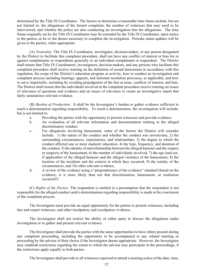determined by the Title IX Coordinator. The factors to determine a reasonable time frame include, but are not limited to, the allegations of the formal complaint, the number of witnesses that may need to be interviewed, and whether the police are also conducting an investigation into the allegations. The time frame originally set by the Title IX Coordinator may be extended by the Title IX Coordinator, upon notice to the parties, as he or she deems necessary to complete the investigation. Periodic status updates will be given to the parties, when appropriate.

(A) *Neutrality*: The Title IX Coordinator, investigator, decision-maker, or any person designated by the District to facilitate this complaint procedure, shall not have any conflict of interest or bias for or against complainants or respondents generally or an individual complainant or respondent. The District shall ensure that Title IX Coordinators, investigators, decision-makers, and any persons who facilitate this complaint procedure shall receive training on the definition of sexual harassment in accordance with this regulation, the scope of the District's education program or activity, how to conduct an investigation and complaint process including hearings, appeals, and informal resolution processes, as applicable, and how to serve impartially, including by avoiding prejudgment of the fact at issue, conflicts of interest, and bias. The District shall ensure that the individuals involved in the complaint procedure receive training on issues of relevance of questions and evidence and on issues of relevance to create an investigative report that fairly summarizes relevant evidence.

(B) *Burden of Production*: It shall be the Investigator's burden to gather evidence sufficient to reach a determination regarding responsibility. To reach a determination, the investigation will include, but is not limited to:

- a. Providing the parties with the opportunity to present witnesses and provide evidence.
- b. An evaluation of all relevant information and documentation relating to the alleged discriminatory conduct.
- c. For allegations involving harassment, some of the factors the District will consider include: 1) the nature of the conduct and whether the conduct was unwelcome, 2) the surrounding circumstances, expectations, and relationships, 3) the degree to which the conduct affected one or more students' education, 4) the type, frequency, and duration of the conduct, 5) the identity of and relationship between the alleged harasser and the suspect or suspects of the harassment, 6) the number of individuals involved, 7) the age (and sex, if applicable) of the alleged harasser and the alleged victim(s) of the harassment, 8) the location of the incidents and the context in which they occurred, 9) the totality of the circumstances, and 10) other relevant evidence.
- d. A review of the evidence using a "preponderance of the evidence" standard (based on the evidence, is it more likely than not that discrimination, harassment, or retaliation occurred?)

(C) *Rights of the Parties:* The respondent is entitled to a presumption that the respondent is not responsible for the alleged conduct until a determination regarding responsibility is made at the conclusion of the complaint process.

The Investigator must provide an equal opportunity for the parties to present witnesses, including fact and expert witnesses, and other inculpatory and exculpatory evidence.

The Investigator shall not restrict the ability of either party to discuss the allegations under investigation or to gather and present relevant evidence.

The Investigator shall provide the parties with the same opportunities to have others present during any complaint proceeding, including the opportunity to be accompanied to any related meeting or proceeding by the advisor of their choice if the Investigator deems appropriate. However, the Investigator may establish restrictions regarding the extent to which the advisor may participate in the proceedings, if the restrictions apply equally to both parties.

The Investigator shall provide to all witnesses expected to attend a meeting notice of the date, time,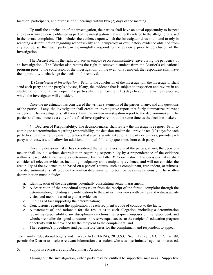location, participants, and purpose of all hearings within two (2) days of the meeting.

Up until the conclusion of the investigation, the parties shall have an equal opportunity to inspect and review any evidence obtained as part of the investigation that is directly related to the allegations raised in the formal complaint. This includes the evidence upon which the Investigator does not intend to rely in reaching a determination regarding responsibility and inculpatory or exculpatory evidence obtained from any source, so that each party can meaningfully respond to the evidence prior to conclusion of the investigation.

The District retains the right to place an employee on administrative leave during the pendency of an investigation. The District also retains the right to remove a student from the District's educational program prior to the conclusion of the investigation. In the event of a removal, the respondent shall have the opportunity to challenge the decision for removal.

(D) *Conclusion of Investigation*: Prior to the conclusion of the investigation, the investigator shall send each party and the party's advisor, if any, the evidence that is subject to inspection and review in an electronic format or a hard copy. The parties shall then have ten (10) days to submit a written response, which the investigator will consider.

Once the investigator has considered the written statements of the parties, if any, and any questions of the parties, if any, the investigator shall create an investigative report that fairly summarizes relevant evidence. The investigator shall then submit the written investigation report to the decision-maker. The parties shall each receive a copy of the final investigative report at the same time as the decision-maker.

4. Decision of Responsibility: The decision-maker shall review the investigative report. Prior to coming to a determination regarding responsibility, the decision-maker shall provide ten (10) days for each party to submit written, relevant questions that a party wants asked of any party or witness, provide each party with answers, and allow for additional, limited follow-up questions from each party.

Once the decision-maker has considered the written questions of the parties, if any, the decisionmaker shall issue a written determination regarding responsibility by a preponderance of the evidence within a reasonable time frame as determined by the Title IX Coordinator. The decision-maker shall consider all relevant evidence, including inculpatory and exculpatory evidence, and will not consider the credibility of the evidence to be based on a person's status, such as complainant, respondent, or witness. The decision-maker shall provide the written determination to both parties simultaneously. The written determination must include:

- a. Identification of the allegations potentially constituting sexual harassment;
- b. A description of the procedural steps taken from the receipt of the formal complaint through the determination, including any notifications to the parties, interviews with parties and witnesses, site visits, and methods used to gather evidence;
- c. Findings of fact supporting the determination;
- d. Conclusions regarding the application of each recipient's code of conduct to the facts;
- e. A statement of, and rationale for, the results as to each allegation, including a determination regarding responsibility, any disciplinary sanctions the recipient imposes on the respondent, and whether remedies designed to restore or preserve equal access to the recipient's education program or activity will be provided by the recipient to the complainant; and
- f. The recipient's procedures and permissible bases for the complainant and respondent to appeal.

The Family Educational Rights and Privacy Act (FERPA), 20 U.S.C. Sec. 11232g; 34 C.F.R. Part 99, permits the District to disclose relevant information to a student who was discriminated against or harassed.

5. Supportive Measures and Disciplinary Actions:

Throughout the investigation, either party may be entitled to supportive measures. Supportive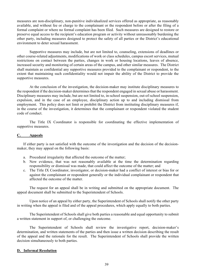measures are non-disciplinary, non-punitive individualized services offered as appropriate, as reasonably available, and without fee or charge to the complainant or the respondent before or after the filing of a formal complaint or where no formal complaint has been filed. Such measures are designed to restore or preserve equal access to the recipient's education program or activity without unreasonably burdening the other party, including measures designed to protect the safety of all parties or the District's educational environment to deter sexual harassment.

Supportive measures may include, but are not limited to, counseling, extensions of deadlines or other course-related adjustments, modifications of work or class schedules, campus escort services, mutual restrictions on contact between the parties, changes in work or housing locations, leaves of absence, increased security and monitoring of certain areas of the campus, and other similar measures. The District shall maintain as confidential any supportive measures provided to the complainant or respondent, to the extent that maintaining such confidentiality would not impair the ability of the District to provide the supportive measures.

At the conclusion of the investigation, the decision-maker may institute disciplinary measures to the respondent if the decision-maker determines that the respondent engaged in sexual abuse or harassment. Disciplinary measures may include, but are not limited to, in-school suspension, out-of-school suspension, expulsion, and in the case of an employee, disciplinary action up to and including dismissal from employment. This policy does not limit or prohibit the District from instituting disciplinary measures if, in the course of the investigation, it determines that the complainant or respondent violated the student code of conduct.

The Title IX Coordinator is responsible for coordinating the effective implementation of supportive measures.

#### **C. Appeals**

If either party is not satisfied with the outcome of the investigation and the decision of the decisionmaker, they may appeal on the following basis:

- a. Procedural irregularity that affected the outcome of the matter;
- b. New evidence, that was not reasonably available at the time the determination regarding responsibility or dismissal was made, that could affect the outcome of the matter; and
- c. The Title IX Coordinator, investigator, or decision-maker had a conflict of interest or bias for or against the complainant or respondent generally or the individual complainant or respondent that affected the outcome of the matter.

The request for an appeal shall be in writing and submitted on the appropriate document. The appeal document shall be submitted to the Superintendent of Schools.

Upon notice of an appeal by either party, the Superintendent of Schools shall notify the other party in writing when the appeal is filed and of the appeal procedures, which apply equally to both parties.

The Superintendent of Schools shall give both parties a reasonable and equal opportunity to submit a written statement in support of, or challenging the outcome.

The Superintendent of Schools shall review the investigative report, decision-maker's determination, and written statements of the parties and then issue a written decision describing the result of the appeal and the rationale for the result. The Superintendent of Schools shall provide the written decision simultaneously to both parties.

#### **D. Informal Resolution**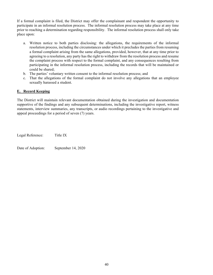If a formal complaint is filed, the District may offer the complainant and respondent the opportunity to participate in an informal resolution process. The informal resolution process may take place at any time prior to reaching a determination regarding responsibility. The informal resolution process shall only take place upon:

- a. Written notice to both parties disclosing: the allegations, the requirements of the informal resolution process, including the circumstances under which it precludes the parties from resuming a formal complaint arising from the same allegations, provided, however, that at any time prior to agreeing to a resolution, any party has the right to withdraw from the resolution process and resume the complaint process with respect to the formal complaint, and any consequences resulting from participating in the informal resolution process, including the records that will be maintained or could be shared;
- b. The parties' voluntary written consent to the informal resolution process; and
- c. That the allegations of the formal complaint do not involve any allegations that an employee sexually harassed a student.

#### **E. Record Keeping**

The District will maintain relevant documentation obtained during the investigation and documentation supportive of the findings and any subsequent determinations, including the investigative report, witness statements, interview summaries, any transcripts, or audio recordings pertaining to the investigative and appeal proceedings for a period of seven (7) years.

Legal Reference: Title IX

Date of Adoption: September 14, 2020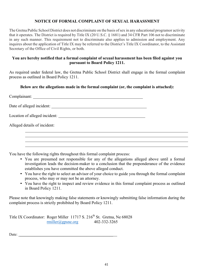## **NOTICE OF FORMAL COMPLAINT OF SEXUAL HARASSMENT**

The Gretna Public School District does not discriminate on the basis ofsex in any educational programor activity that it operates. The District is required by Title IX (20 U.S.C. § 1681) and 34 CFR Part 106 not to discriminate in any such manner. This requirement not to discriminate also applies to admission and employment. Any inquires about the application of Title IX may be referred to the District's Title IX Coordinator, to the Assistant Secretary of the Office of Civil Rights, or both.

#### **You are hereby notified that a formal complaint of sexual harassment has been filed against you pursuant to Board Policy 1211.**

As required under federal law, the Gretna Public School District shall engage in the formal complaint process as outlined in Board Policy 1211.

### **Below are the allegations made in the formal complaint (or, the complaint is attached):**

| Date of alleged incident:    |  |
|------------------------------|--|
|                              |  |
| Alleged details of incident: |  |
|                              |  |
|                              |  |

You have the following rights throughout this formal complaint process:

- You are presumed not responsible for any of the allegations alleged above until a formal investigation leads the decision-maker to a conclusion that the preponderance of the evidence establishes you have committed the above alleged conduct.
- You have the right to select an advisor of your choice to guide you through the formal complaint process, who may or may not be an attorney.
- You have the right to inspect and review evidence in this formal complaint process as outlined in Board Policy 1211.

Please note that knowingly making false statements or knowingly submitting false information during the complaint process is strictly prohibited by Board Policy 1211.

```
Title IX Coordinator: Roger Miller 11717 S. 216<sup>th</sup> St. Gretna, Ne 68028
                      rmiller@gpsne.org 402-332-3265
```
Date: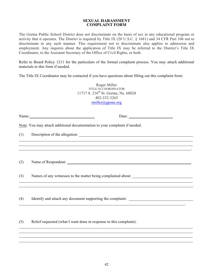#### **SEXUAL HARASSMENT COMPLAINT FORM**

The Gretna Public School District does not discriminate on the basis of sex in any educational program or activity that it operates. The District is required by Title IX (20 U.S.C. § 1681) and 34 CFR Part 106 not to discriminate in any such manner. This requirement not to discriminate also applies to admission and employment. Any inquires about the application of Title IX may be referred to the District's Title IX Coordinator, to the Assistant Secretary of the Office of Civil Rights, or both.

Refer to Board Policy 1211 for the particulars of the formal complaint process. You may attach additional materials to this form if needed.

The Title IX Coordinator may be contacted if you have questions about filling out this complaint form:

Roger Miller TITLE IX COORDINATOR 11717 S. 216<sup>th</sup> St. Gretna, Ne. 68028 402-332-3265 rmiller@gpsne.org

Name: Name: Name: Name: Name: Name: Name: Name: Name: Name: Name: Name: Name: Name: Name: Name: Name: Name: Name: Name: Name: Name: Name: Name: Name: Name: Name: Name: Name: Name: Name: Name: Name: Name: Name: Name: Name:

.

.

.

Note: You may attach additional documentation to your complaint if needed.

(1) Description of the allegation:

(2) Name of Respondent:

(3) Names of any witnesses to the matter being complained about:

(4) Identify and attach any document supporting the complaint:

(5) Relief requested (what I want done in response to this complaint):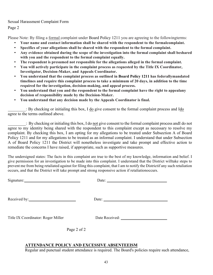Sexual Harassment Complaint Form Page 2

Please Note: By filing a formal complaint under Board Policy 1211 you are agreeing to the followingterms:

- **Your name and contact information shall be shared with the respondent to the formalcomplaint.**
- **Specifics of your allegations shall be shared with the respondent to the formal complaint.**
- **Any evidence obtained during the scope of the investigation into the formal complaint shall beshared with you and the respondent to the formal complaint equally.**
- **The respondent is presumed not responsible for the allegations alleged in the formal complaint.**
- **You will actively participate in the complaint process as requested by the Title IX Coordinator, Investigator, Decision-Maker, and Appeals Coordinator.**
- **You understand that the complaint process as outlined in Board Policy 1211 has federallymandated timelines and require this complaint process to take a minimum of 20 days, in addition to the time required for the investigation, decision-making, and appeal process.**
- **You understand that you and the respondent to the formal complaint have the right to appealany decision of responsibility made by the Decision-Maker.**
- **You understand that any decision made by the Appeals Coordinator is final.**

: By checking or initialing this box, I do give consent to the formal complaint process and Ido agree to the terms outlined above.

: By checking or initialing this box, I do not give consent to the formal complaint process andI do not agree to my identity being shared with the respondent to this complaint except as necessary to resolve my complaint. By checking this box, I am opting for my allegations to be treated under Subsection A of Board Policy 1211 and for my allegations to be treated as an informal complaint. I understand that under Subsection A of Board Policy 1211 the District will nonetheless investigate and take prompt and effective action to remediate the concerns I have raised, if appropriate, such as supportive measures.

The undersigned states: The facts in this complaint are true to the best of my knowledge, information and belief. I give permission for an investigation to be made into this complaint. I understand that the District willtake steps to prevent me from being retaliated against for filing this complaint, that I am to notify the Districtif any such retaliation occurs, and that the District will take prompt and strong responsive action if retaliationoccurs.

| Signature:                         |             | Date: $\frac{1}{\sqrt{1-\frac{1}{2}} \cdot \frac{1}{2} \cdot \frac{1}{2} \cdot \frac{1}{2} \cdot \frac{1}{2} \cdot \frac{1}{2} \cdot \frac{1}{2} \cdot \frac{1}{2} \cdot \frac{1}{2} \cdot \frac{1}{2} \cdot \frac{1}{2} \cdot \frac{1}{2} \cdot \frac{1}{2} \cdot \frac{1}{2} \cdot \frac{1}{2} \cdot \frac{1}{2} \cdot \frac{1}{2} \cdot \frac{1}{2} \cdot \frac{1}{2} \cdot \frac{1}{2} \cdot \frac{1}{2} \cdot \frac{1}{2} \cdot \frac{1}{2}$ |
|------------------------------------|-------------|---------------------------------------------------------------------------------------------------------------------------------------------------------------------------------------------------------------------------------------------------------------------------------------------------------------------------------------------------------------------------------------------------------------------------------------------------|
|                                    |             |                                                                                                                                                                                                                                                                                                                                                                                                                                                   |
|                                    |             |                                                                                                                                                                                                                                                                                                                                                                                                                                                   |
| Received by:                       |             | Date: $\frac{1}{\sqrt{1-\frac{1}{2}}\sqrt{1-\frac{1}{2}}\sqrt{1-\frac{1}{2}}\sqrt{1-\frac{1}{2}}\sqrt{1-\frac{1}{2}}\sqrt{1-\frac{1}{2}}\sqrt{1-\frac{1}{2}}\sqrt{1-\frac{1}{2}}\sqrt{1-\frac{1}{2}}\sqrt{1-\frac{1}{2}}\sqrt{1-\frac{1}{2}}\sqrt{1-\frac{1}{2}}\sqrt{1-\frac{1}{2}}\sqrt{1-\frac{1}{2}}\sqrt{1-\frac{1}{2}}\sqrt{1-\frac{1}{2}}\sqrt{1-\frac{1}{2}}\sqrt{1-\frac{1}{2}}\sqrt{1-\frac{1}{2}}$                                     |
|                                    |             |                                                                                                                                                                                                                                                                                                                                                                                                                                                   |
|                                    |             |                                                                                                                                                                                                                                                                                                                                                                                                                                                   |
| Title IX Coordinator: Roger Miller |             |                                                                                                                                                                                                                                                                                                                                                                                                                                                   |
|                                    |             |                                                                                                                                                                                                                                                                                                                                                                                                                                                   |
|                                    | Page 2 of 2 |                                                                                                                                                                                                                                                                                                                                                                                                                                                   |
|                                    |             |                                                                                                                                                                                                                                                                                                                                                                                                                                                   |
|                                    |             |                                                                                                                                                                                                                                                                                                                                                                                                                                                   |

#### **ATTENDANCE POLICY AND EXCESSIVE ABSENTEEISM**

Regular and punctual student attendance is required. The Board's policies require such attendance,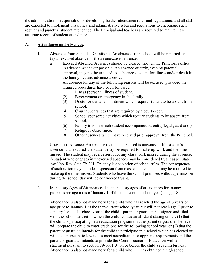the administration is responsible for developing further attendance rules and regulations, and all staff are expected to implement this policy and administrative rules and regulations to encourage such regular and punctual student attendance. The Principal and teachers are required to maintain an accurate record of student attendance.

## A. **Attendance and Absences**.

- 1. Absences from School Definitions. An absence from school will be reportedas: (a) an excused absence or (b) an unexcused absence.
	- a. Excused Absence. Absences should be cleared through the Principal's office in advance whenever possible. An absence or tardy, even by parental approval, may not be excused. All absences, except for illness and/or death in the family, require advance approval.

An absence for any of the following reasons will be excused, provided the required procedures have been followed:

- (1) Illness (personal illness of student)
- (2) Bereavement or emergency in the family
- (3) Doctor or dental appointment which require student to be absent from school,
- (4) Court appearances that are required by a court order,
- (5) School sponsored activities which require students to be absent from school,
- (6) Family trips in which student accompanies parent(s)/legal guardian(s),
- (7) Religious observance,
- (8) Other absences which have received prior approval from the Principal.

Unexcused Absence. An absence that is not excused is unexcused. If a student's absence is unexcused the student may be required to make up work and the time missed. The student may receive zeros for any class work missed during the absence. A student who engages in unexcused absences may be considered truant asper state law Neb. Rev. Stat. 79-201. Truancy is a violation of school rules. The consequence of such action may include suspension from class and the student may be required to make up the time missed. Students who leave the school premises without permission during the school day will be considered truant.

2. Mandatory Ages of Attendance. The mandatory ages of attendances for truancy purposes are age 6 (as of January 1 of the then-current school year) to age 18.

Attendance is also not mandatory for a child who has reached the age of 6 years of age prior to January 1 of the then-current school year, but will not reach age 7 prior to January 1 of such school year, if the child's parent or guardian has signed and filed with the school district in which the child resides an affidavit stating either: (1) that the child is participating in an education program that the parent or guardian believes will prepare the child to enter grade one for the following school year; or (2) that the parent or guardian intends for the child to participate in a school which has elected or will elect pursuant to law not to meet accreditation or approval requirements and the parent or guardian intends to provide the Commissioner of Education with a statement pursuant to section 79-1601(3) on or before the child's seventh birthday. Attendance is also not mandatory for a child who: (1) has obtained a high school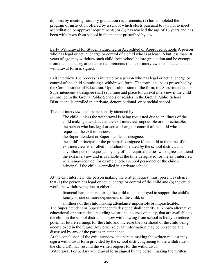diploma by meeting statutory graduation requirements; (2) has completed the program of instruction offered by a school which elects pursuant to law not to meet accreditation or approval requirements; or (3) has reached the age of 16 years and has been withdrawn from school in the manner prescribed by law.

Early Withdrawal for Students Enrolled in Accredited or Approved Schools A person who has legal or actual charge or control of a child who is at least 16 but less than 18 years of age may withdraw such child from school before graduation and be exempt from the mandatory attendance requirements if an exit interview is conducted and a withdrawal form is signed.

Exit Interview The process is initiated by a person who has legal or actual charge or control of the child submitting a withdrawal form. The form is to be as prescribed by the Commissioner of Education. Upon submission of the form, the Superintendent or Superintendent's designee shall set a time and place for an exit interview if the child is enrolled in the Gretna Public Schools or resides in the Gretna Public School District and is enrolled in a private, denominational, or parochial school.

The exit interview shall be personally attended by:

 The child, unless the withdrawal is being requested due to an illness of the child making attendance at the exit interview impossible or impracticable; the person who has legal or actual charge or control of the child who requested the exit interview;

the Superintendent or Superintendent's designee;

 the child's principal or the principal's designee if the child at the time of the exit interview is enrolled in a school operated by the school district; and any other person requested by any of the required parties who agrees to attend the exit interview and is available at the time designated for the exit interview which may include, for example, other school personnel or the child's principal if the child is enrolled in a private school.

At the exit interview, the person making the written request must present evidence that (a) the person has legal or actual charge or control of the child and (b) the child would be withdrawing due to either:

 financial hardships requiring the child to be employed to support the child's family or one or more dependents of the child, or

 an illness of the child making attendance impossible or impracticable. The Superintendent or Superintendent's designee shall identify all known alternative educational opportunities, including vocational courses of study, that are available to the child in the school district and how withdrawing from school is likely to reduce potential future earnings for the child and increase the likelihood of the child being unemployed in the future. Any other relevant information may be presented and discussed by any of the parties in attendance.

At the conclusion of the exit interview, the person making the written request may sign a withdrawal form provided by the school district agreeing to the withdrawal of the child OR may rescind the written request for the withdrawal.

Withdrawal Form. Any withdrawal form signed by the person making the written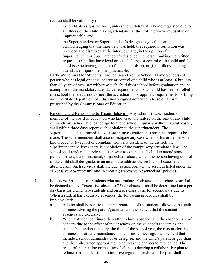request shall be valid only if:

 the child also signs the form, unless the withdrawal is being requested due to an illness of the child making attendance at the exit interview impossible or impracticable, and

 the Superintendent or Superintendent's designee signs the form acknowledging that the interview was held, the required information was provided and discussed at the interview, and, in the opinion of the Superintendent or Superintendent's designee, the person making the written request does in fact have legal or actual charge or control of the child and the child is experiencing either (i) financial hardship, or (ii) an illness making attendance impossible or impracticable.

Early Withdrawal for Students Enrolled in an Exempt School (Home Schools). A person who has legal or actual charge or control of a child who is at least 16 but less than 18 years of age may withdraw such child from school before graduation and be exempt from the mandatory attendance requirements if such child has been enrolled in a school that elects not to meet the accreditation or approval requirements by filing with the State Department of Education a signed notarized release on a form prescribed by the Commissioner of Education.

- 3. Reporting and Responding to Truant Behavior. Any administrator, teacher, or member of the board of education who knows of any failure on the part of any child of mandatory school attendance age to attend school regularly without lawfulreason, shall within three days report such violation to the superintendent. The superintendent shall immediately cause an investigation into any such report to be made. The superintendent shall also investigate any case when of his or her personal knowledge, or by report or complaint from any resident of the district, the superintendent believes there is a violation of the compulsory attendance law. The school shall render all services in its power to compel such child to attend some public, private, denominational, or parochial school, which the person having control of the child shall designate, in an attempt to address the problem of excessive absenteeism. Such services shall include, as appropriate, the services listed under the "Excessive Absenteeism" and "Reporting Excessive Absenteeism" policies.
- 4. Excessive Absenteeism. Students who accumulate 10 absences in a school year shall be deemed to have "excessive absences." Such absences shall be determined on a per day basis for elementary students and on a per class basis for secondary students. When a student has excessive absences, the following procedures shall be implemented:
	- a. A letter shall be sent to the parent/guardian of the student following the tenth absence advising the parent/guardian and the student that the student's absences are excessive.
	- b. When a student continues thereafter to have absences and the absences are of concern due to the effect of the absences on the student's academics, the student's attendance history, the time of the school year, the reasons for the absences, or other circumstances, one or more meetings shall be held that include a school administrator or designee, and the child's parent or guardian and the child, when appropriate, to address the barriers to attendance. The result of the meeting or meetings shall be to develop a collaborative plan to reduce barriers identified to improve regular attendance. The plan shall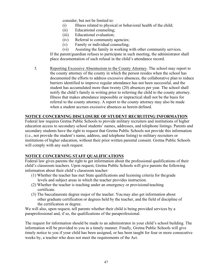consider, but not be limited to:

- (i) Illness related to physical or behavioral health of the child;
- (ii) Educational counseling;
- (iii) Educational evaluation;
- (iv) Referral to community agencies;
- (v) Family or individual counseling;
- (vi) Assisting the family in working with other community services.

If the parent/guardian refuses to participate in such meeting, the administrator shall place documentation of such refusal in the child's attendance record.

5. Reporting Excessive Absenteeism to the County Attorney. The school may report to the county attorney of the county in which the person resides when the school has documented the efforts to address excessive absences, the collaborative plan to reduce barriers identified to improve regular attendance has not been successful, and the student has accumulated more than twenty (20) absences per year. The school shall notify the child's family in writing prior to referring the child to the county attorney. Illness that makes attendance impossible or impractical shall not be the basis for referral to the county attorney. A report to the county attorney may also be made when a student accrues excessive absences as herein defined.

### **NOTICE CONCERNING DISCLOSURE OF STUDENT RECRUITING INFORMATION**

Federal law requires Gretna Public Schools to provide military recruiters and institutions of higher education access to secondary school students' names, addresses, and telephone listings. Parents and secondary students have the right to request that Gretna Public Schools not provide this information (i.e., not provide the student's name, address, and telephone listing) to military recruiters or institutions of higher education, without their prior written parental consent. Gretna Public Schools will comply with any such request.

#### **NOTICE CONCERNING STAFF QUALIFICATIONS**

Federal law gives parents the right to get information about the professional qualifications of their child's classroom teachers. Upon request, Gretna Public Schools will give parents the following information about their child's classroom teacher:

- (1) Whether the teacher has met State qualifications and licensing criteria for thegrade levels and subject areas in which the teacher provides instruction.
- (2) Whether the teacher is teaching under an emergency or provisionalteaching certificate.
- (3) The baccalaureate degree major of the teacher. You may also get information about other graduate certification or degrees held by the teacher, and the field of discipline of the certification or degree.

We will also, upon request, tell parents whether their child is being provided services by a paraprofessional and, if so, the qualifications of the paraprofessional.

The request for information should be made to an administrator in your child's school building. The information will be provided to you in a timely manner. Finally, Gretna Public Schools will give timely notice to you if your child has been assigned, or has been taught for four or more consecutive weeks by, a teacher who does not meet the requirements of the Act.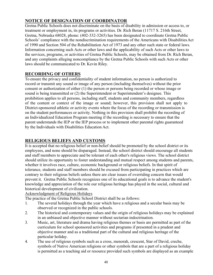# **NOTICE OF DESIGNATION OF COORDINATOR**

Gretna Public Schools does not discriminate on the basis of disability in admission or access to, or treatment or employment in, its programs or activities. Dr. Rich Beran (11717 S. 216th Street, Gretna, Nebraska 68028, phone: (402-332-3265) has been designated to coordinate Gretna Public Schools' compliance with the nondiscrimination requirements of the Americans with Disabilities Act of 1990 and Section 504 of the Rehabilitation Act of 1973 and any other such state or federal laws. Information concerning such Acts or other laws and the applicability of such Acts or other laws to the services, programs, or activities of Gretna Public Schools, may be obtained from Dr. Rich Beran, and any complaints alleging noncompliance by the Gretna Public Schools with such Acts or other laws should be communicated to Dr. Kevin Riley.

# **RECORDING OF OTHERS**

To ensure the privacy and confidentiality of student information, no person is authorized to record or transmit any sound or image of any person (including themselves) without the prior consent or authorization of either (1) the person or persons being recorded or whose image or sound is being transmitted or (2) the Superintendent or Superintendent's designee. This prohibition applies to all persons, including staff, students and community members, regardless of the content or context of the image or sound; however, this provision shall not apply to District-sponsored athletic or activity events where the focus of the recording or transmission is on the student performances or activity. Nothing in this provision shall prohibit the recording of an Individualized Education Program meeting if the recording is necessary to ensure that the parent understands the IEP or the IEP process or to implement other parental rights guaranteed by the Individuals with Disabilities Education Act.

# **RELIGIOUS BELIEFS AND CUSTOMS**

It is accepted that no religious belief or non-belief should be promoted by the school district or its employees, and none should be disparaged. Instead, the school district should encourage all students and staff members to appreciate and be tolerant of each other's religious views. The school district should utilize its opportunity to foster understanding and mutual respect among students and parents, whether it involves race, culture, economic background or religious beliefs. In that spirit of tolerance, students and staff members should be excused from participating in practices which are contrary to their religious beliefs unless there are clear issues of overriding concern that would prevent it. Gretna Public Schools recognizes one of its educational goals is to advance the student's knowledge and appreciation of the role our religious heritage has played in the social, cultural and historical development of civilization.

# Acknowledgment of Religious Holidays

The practice of the Gretna Public School District shall be as follows:

- 1. The several holidays through the year which have a religious and a secular basis may be observed or recognized in the public schools.
- 2. The historical and contemporary values and the origin of religious holidays may be explained in an unbiased and objective manner without sectarian indoctrination.
- 3. Music, art, literature and drama having religious themes or basis are permitted as part of the curriculum for school sponsored activities and programs if presented in a prudent and objective manner and as a traditional part of the cultural and religious heritage of the particular holiday.
- 4. The use of religious symbols such as a cross, menorah, crescent, Star of David, creche, symbols of Native American religions or other symbols that are a part of a religious holiday is permitted as a teaching aid or resource provided such symbols are displayed as an example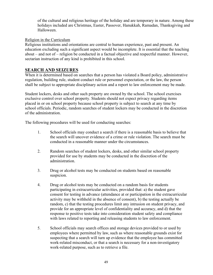of the cultural and religious heritage of the holiday and are temporary in nature. Among these holidays included are Christmas, Easter, Passover, Hanukkah, Ramadan, Thanksgiving and Halloween.

#### Religion in the Curriculum

Religious institutions and orientations are central to human experience, past and present. An education excluding such a significant aspect would be incomplete. It is essential that the teaching about – and not of – religion be conducted in a factual objective and respectful manner. However, sectarian instruction of any kind is prohibited in this school.

# **SEARCH AND SEIZURES**

When it is determined based on searches that a person has violated a Board policy, administrative regulation, building rule, student conduct rule or personnel expectation, or the law, the person shall be subject to appropriate disciplinary action and a report to law enforcement may be made.

Student lockers, desks and other such property are owned by the school. The school exercises exclusive control over school property. Students should not expect privacy regarding items placed in or on school property because school property is subject to search at any time by school officials. Periodic, random searches of student lockers may be conducted in the discretion of the administration.

The following procedures will be used for conducting searches:

- 1. School officials may conduct a search if there is a reasonable basis to believe that the search will uncover evidence of a crime or rule violation. The search must be conducted in a reasonable manner under the circumstances.
- 2. Random searches of student lockers, desks, and other similar school property provided for use by students may be conducted in the discretion of the administration.
- 3. Drug or alcohol tests may be conducted on students based on reasonable suspicion.
- 4. Drug or alcohol tests may be conducted on a random basis for students participating in extracurricular activities, provided that: a) the student gave consent for testing in advance (attendance at or participation in the extracurricular activity may be withheld in the absence of consent), b) the testing actually be random, c) that the testing procedures limit any intrusion on student privacy, and provide for an appropriate level of confidentiality and accuracy, and d) that the response to positive tests take into consideration student safety and compliance with laws related to reporting and releasing students to law enforcement.
- 5. School officials may search offices and storage devices provided to or used by employees where permitted by law, such as where reasonable grounds exist for suspecting that a search will turn up evidence that the employee has committed work-related misconduct, or that a search is necessary for a non-investigatory work-related purpose, such as to retrieve a file.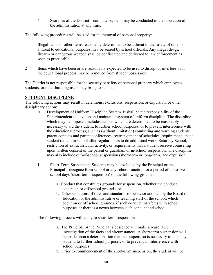6. Searches of the District's computer system may be conducted in the discretion of the administration at any time.

The following procedures will be used for the removal of personal property:

- 1. Illegal items or other items reasonably determined to be a threat to the safety of others or a threat to educational purposes may be seized by school officials. Any illegal drugs, firearm or dangerous weapon shall be confiscated and delivered to law enforcement as soon as practicable.
- 2. Items which have been or are reasonably expected to be used to disrupt or interfere with the educational process may be removed from student possession.

The District is not responsible for the security or safety of personal property which employees, students, or other building users may bring to school.

# **STUDENT DISCIPLINE**

The following actions may result in detentions, exclusions, suspension, or expulsion, or other disciplinary action:

- A. Development of Uniform Discipline System. It shall be the responsibility of the Superintendent to develop and maintain a system of uniform discipline. The discipline which may be imposed includes actions which are determined to be reasonably necessary to aid the student, to further school purposes, or to prevent interference with the educational process, such as (without limitation) counseling and warning students, parent contacts and parent conferences, rearrangement of schedules, requirements that a student remain in school after regular hours to do additional work, Saturday School, restriction of extracurricular activity, or requirements that a student receive counseling upon written consent of the parent or guardian, or in-school suspension. The discipline may also include out-of-school suspension (short-term or long-term) and expulsion.
- 1. Short-Term Suspension: Students may be excluded by the Principal or the Principal's designee from school or any school function for a period of up tofive school days (short-term suspension) on the following grounds:
	- a. Conduct that constitutes grounds for suspension, whether the conduct occurs on or off school grounds; or.
	- b. Other violations of rules and standards of behavior adopted by the Board of Education or the administrative or teaching staff of the school, which occur on or off school grounds, if such conduct interferes with school purposes or there is a nexus between such conduct and school.

The following process will apply to short-term suspensions:

- a. The Principal or the Principal's designee will make a reasonable investigation of the facts and circumstances. A short-term suspension will be made upon a determination that the suspension is necessary to help any student, to further school purposes, or to prevent an interference with school purposes.
- b. Prior to commencement of the short-term suspension, the student will be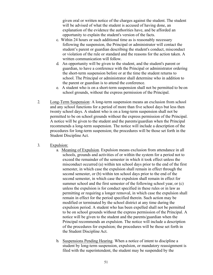given oral or written notice of the charges against the student. The student will be advised of what the student is accused of having done, an explanation of the evidence the authorities have, and be afforded an opportunity to explain the student's version of the facts.

- c. Within 24 hours or such additional time as is reasonably necessary following the suspension, the Principal or administrator will contact the student's parent or guardian describing the student's conduct, misconduct or violation of the rule or standard and the reasons for the action taken. A written communication will follow.
- d. An opportunity will be given to the student, and the student's parent or guardian, to have a conference with the Principal or administrator ordering the short-term suspension before or at the time the student returns to school. The Principal or administrator shall determine who in addition to the parent or guardian is to attend the conference.
- e. A student who is on a short-term suspension shall not be permitted to be on school grounds, without the express permission of the Principal.
- 2. Long-Term Suspension: A long-term suspension means an exclusion from school and any school functions for a period of more than five school days but less then twenty school days. A student who is on a long-term suspension shall not be permitted to be on school grounds without the express permission of the Principal. A notice will be given to the student and the parents/guardian when the Principal recommends a long-term suspension. The notice will include a description of the procedures for long-term suspension; the procedures will be those set forth in the Student Discipline Act.
- 3. Expulsion:
	- a. Meaning of Expulsion. Expulsion means exclusion from attendance in all schools, grounds and activities of or within the system for a period not to exceed the remainder of the semester in which it took effect unless the misconduct occurred (a) within ten school days prior to the end of the first semester, in which case the expulsion shall remain in effect through the second semester, or (b) within ten school days prior to the end of the second semester, in which case the expulsion shall remain in effect for summer school and the first semester of the following school year, or (c) unless the expulsion is for conduct specified in these rules or in law as permitting or requiring a longer removal, in which case the expulsion shall remain in effect for the period specified therein. Such action may be modified or terminated by the school district at any time during the expulsion period. A student who has been expelled shall not be permitted to be on school grounds without the express permission of the Principal. A notice will be given to the student and the parents/guardian when the Principal recommends an expulsion. The notice will include a description of the procedures for expulsion; the procedures will be those set forth in the Student Discipline Act.
	- b. Suspensions Pending Hearing. When a notice of intent to discipline a student by long-term suspension, expulsion, or mandatory reassignment is filed with the superintendent, the student may be suspended by the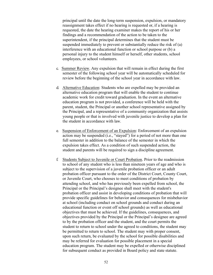principal until the date the long-term suspension, expulsion, or mandatory reassignment takes effect if no hearing is requested or, if a hearing is requested, the date the hearing examiner makes the report of his or her findings and a recommendation of the action to be taken to the superintendent, if the principal determines that the student must be suspended immediately to prevent or substantially reduce the risk of (a) interference with an educational function or school purpose or (b) a personal injury to the student himself or herself, other students, school employees, or school volunteers.

- c. Summer Review. Any expulsion that will remain in effect during the first semester of the following school year will be automatically scheduled for review before the beginning of the school year in accordance with law.
- d. Alternative Education: Students who are expelled may be provided an alternative education program that will enable the student to continue academic work for credit toward graduation. In the event an alternative education program is not provided, a conference will be held with the parent, student, the Principal or another school representative assigned by the Principal, and a representative of a community organization that assists young people or that is involved with juvenile justice to develop a plan for the student in accordance with law.
- e. Suspension of Enforcement of an Expulsion: Enforcement of an expulsion action may be suspended (i.e., "stayed") for a period of not more than one full semester in addition to the balance of the semester in which the expulsion takes effect. As a condition of such suspended action, the student and parents will be required to sign a discipline agreement.
- f. Students Subject to Juvenile or Court Probation. Prior to the readmission to school of any student who is less than nineteen years of age and who is subject to the supervision of a juvenile probation officer or an adult probation officer pursuant to the order of the District Court, County Court, or Juvenile Court, who chooses to meet conditions of probation by attending school, and who has previously been expelled from school, the Principal or the Principal's designee shall meet with the student's probation officer and assist in developing conditions of probation that will provide specific guidelines for behavior and consequences for misbehavior at school (including conduct on school grounds and conduct during an educational function or event off school grounds) as well as educational objectives that must be achieved. If the guidelines, consequences, and objectives provided by the Principal or the Principal's designee are agreed to by the probation officer and the student, and the court permits the student to return to school under the agreed to conditions, the student may be permitted to return to school. The student may with proper consent, upon such return, be evaluated by the school for possible disabilities and may be referred for evaluation for possible placement in a special education program. The student may be expelled or otherwise disciplined for subsequent conduct as provided in Board policy and state statute.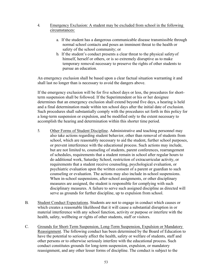#### 4. Emergency Exclusion: A student may be excluded from school in the following circumstances:

- a. If the student has a dangerous communicable disease transmissible through normal school contacts and poses an imminent threat to the health or safety of the school community; or
- b. If the student's conduct presents a clear threat to the physical safetyof himself, herself or others, or is so extremely disruptive as to make temporary removal necessary to preserve the rights of other students to pursue an education.

An emergency exclusion shall be based upon a clear factual situation warranting it and shall last no longer than is necessary to avoid the dangers above.

If the emergency exclusion will be for five school days or less, the procedures for shortterm suspension shall be followed. If the Superintendent or his or her designee determines that an emergency exclusion shall extend beyond five days, a hearing is held and a final determination made within ten school days after the initial date of exclusion. Such procedures shall substantially comply with the procedures set forth in this policy for a long-term suspension or expulsion, and be modified only to the extent necessary to accomplish the hearing and determination within this shorter time period.

- 5. Other Forms of Student Discipline. Administrative and teaching personnel may also take actions regarding student behavior, other than removal of students from school, which are reasonably necessary to aid the student, further school purposes, or prevent interference with the educational process. Such actions may include, but are not limited to, counseling of students, parent conferences, rearrangement of schedules, requirements that a student remain in school after regular hours to do additional work, Saturday School, restriction of extracurricular activity, or requirements that a student receive counseling, psychological evaluation, or psychiatric evaluation upon the written consent of a parent or guardian to such counseling or evaluation. The actions may also include in-school suspensions. When in-school suspensions, after-school assignments, or other disciplinary measures are assigned, the student is responsible for complying with such disciplinary measures. A failure to serve such assigned discipline as directed will serve as grounds for further discipline, up to expulsion from school.
- B. Student Conduct Expectations. Students are not to engage in conduct which causes or which creates a reasonable likelihood that it will cause a substantial disruption in or material interference with any school function, activity or purpose or interfere with the health, safety, wellbeing or rights of other students, staff or visitors.
- C. Grounds for Short-Term Suspension, Long-Term Suspension, Expulsion or Mandatory Reassignment. The following conduct has been determined by the Board of Education to have the potential to seriously affect the health, safety or welfare of students, staff and other persons or to otherwise seriously interfere with the educational process. Such conduct constitutes grounds for long-term suspension, expulsion, or mandatory reassignment, and any other lesser forms of discipline. The conduct is subject to the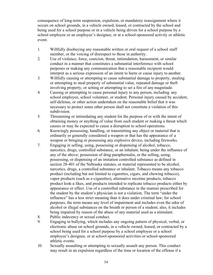consequence of long-term suspension, expulsion, or mandatory reassignment where it occurs on school grounds, in a vehicle owned, leased, or contracted by the school and being used for a school purpose or in a vehicle being driven for a school purpose by a school employee or an employee's designee, or at a school-sponsored activity or athletic event.

- 1. Willfully disobeying any reasonable written or oral request of a school staff member, or the voicing of disrespect to those in authority.
- 2. Use of violence, force, coercion, threat, intimidation, harassment, or similar conduct in a manner that constitutes a substantial interference with school purposes or making any communication that a reasonable recipient would interpret as a serious expression of an intent to harm or cause injury to another.
- 3. Willfully causing or attempting to cause substantial damage to property, stealing or attempting to steal property of substantial value, repeated damage or theft involving property, or setting or attempting to set a fire of any magnitude.
- 4. Causing or attempting to cause personal injury to any person, including any school employee, school volunteer, or student. Personal injury caused by accident, self-defense, or other action undertaken on the reasonable belief that it was necessary to protect some other person shall not constitute a violation of this subdivision.
- 5. Threatening or intimidating any student for the purpose of or with the intent of obtaining money or anything of value from such student or making a threat which causes or may be expected to cause a disruption to school operations.
- 6. Knowingly possessing, handling, or transmitting any object or material that is ordinarily or generally considered a weapon or that has the appearance of a weapon or bringing or possessing any explosive device, including fireworks.
- 7. Engaging in selling, using, possessing or dispensing of alcohol, tobacco, narcotics, drugs, controlled substance, or an inhalant; being under the influence of any of the above; possession of drug paraphernalia, or the selling, using, possessing, or dispensing of an imitation controlled substance as defined in section 28-401 of the Nebraska statutes, or material represented to be alcohol, narcotics, drugs, a controlled substance or inhalant. Tobacco means any tobacco product (including but not limited to cigarettes, cigars, and chewing tobacco), vapor products (such as e-cigarettes), alternative nicotine products, tobacco product look-a likes, and products intended to replicate tobacco products either by appearance or effect. Use of a controlled substance in the manner prescribed for the student by the student's physician is not a violation. The term "under the influence" has a less strict meaning than it does under criminal law; for school purposes, the term means any level of impairment and includes even the odor of alcohol or illegal substances on the breath or person of a student; also, it includes being impaired by reason of the abuse of any material used as a stimulant.
- 8. Public indecency or sexual conduct.
- 9. Engaging in bullying, which includes any ongoing pattern of physical, verbal, or electronic abuse on school grounds, in a vehicle owned, leased, or contracted by a school being used for a school purpose by a school employee or a school employee's designee, or at school-sponsored activities or school-sponsored athletic events.
- 10. Sexually assaulting or attempting to sexually assault any person. This conduct may result in an expulsion regardless of the time or location of the offense if a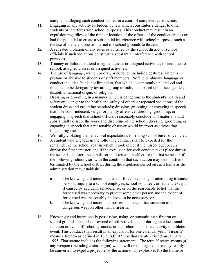complaint alleging such conduct is filed in a court of competent jurisdiction.

- 11. Engaging in any activity forbidden by law which constitutes a danger to other students or interferes with school purposes. This conduct may result in an expulsion regardless of the time or location of the offense if the conduct creates or had the potential to create a substantial interference with school purposes, such as the use of the telephone or internet off-school grounds to threaten.
- 12. A repeated violation of any rules established by the school district or school officials if such violations constitute a substantial interference with school purposes.
- 13. Truancy or failure to attend assigned classes or assigned activities; or tardiness to school, assigned classes or assigned activities.
- 14. The use of language, written or oral, or conduct, including gestures, which is profane or abusive to students or staff members. Profane or abusive language or conduct includes, but is not limited to, that which is commonly understood and intended to be derogatory toward a group or individual based upon race, gender, disability, national origin, or religion.
- 15. Dressing or grooming in a manner which is dangerous to the student's health and safety or a danger to the health and safety of others or repeated violations of the student dress and grooming standards; dressing, grooming, or engaging in speech that is lewd or indecent, vulgar or plainly offensive; dressing, grooming, or engaging in speech that school officials reasonably conclude will materially and substantially disrupt the work and discipline of the school; dressing, grooming, or engaging in speech that a reasonable observer would interpret as advocating illegal drug use.
- 16. Willfully violating the behavioral expectations for riding school buses or vehicles.
- 17. A student who engages in the following conduct shall be expelled for the remainder of the school year in which it took effect if the misconduct occurs during the first semester, and if the expulsion for such conduct takes place during the second semester, the expulsion shall remain in effect for the first semester of the following school year, with the condition that such action may be modified or terminated by the school district during the expulsion period on such terms as the administration may establish:
	- a. The knowing and intentional use of force in causing or attempting to cause personal injury to a school employee, school volunteer, or student, except if caused by accident, self-defense, or on the reasonable belief that the force used was necessary to protect some other person and the extent of force used was reasonably believed to be necessary, or
	- b. The knowing and intentional possession, use, or transmission of a dangerous weapon other than a firearm.
- 18. Knowingly and intentionally possessing, using, or transmitting a firearm on school grounds, in a school-owned or utilized vehicle, or during an educational function or event off school grounds, or at a school-sponsored activity or athletic event. This conduct shall result in an expulsion for one calendar year. "Firearm" means a firearm as defined in 18 U.S.C. 921, as that statute existed on January 1, 1995. That statute includes the following statement: "The term 'firearm'means (a) any weapon (including a starter gun) which will or is designed to or may readily be converted to expel a projectile by the action of an explosive; (b) the frame or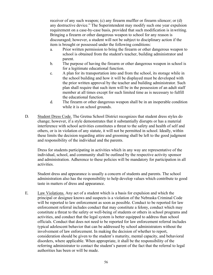receiver of any such weapon; (c) any firearm muffler or firearm silencer; or (d) any destructive device." The Superintendent may modify such one year expulsion requirement on a case-by-case basis, provided that such modification is inwriting. Bringing a firearm or other dangerous weapon to school for any reason is discouraged; however, a student will not be subject to disciplinary action if the item is brought or possessed under the following conditions:

- a. Prior written permission to bring the firearm or other dangerous weapon to school is obtained from the student's teacher, building administrator and parent.
- b. The purpose of having the firearm or other dangerous weapon in school is for a legitimate educational function.
- c. A plan for its transportation into and from the school, its storage while in the school building and how it will be displayed must be developed with the prior written approval by the teacher and building administrator. Such plan shall require that such item will be in the possession of an adult staff member at all times except for such limited time as is necessary to fulfill the educational function.
- d. The firearm or other dangerous weapon shall be in an inoperable condition while it is on school grounds.
- D. Student Dress Code. The Gretna School District recognizes that student dress styles do change; however, if a style demonstrates that it substantially disrupts or has a material interference with school activities constitutes a threat to the safety and health of self and others, or is in violation of any statute, it will not be permitted in school. Ideally, within these limits the decision regarding attire and grooming shall be left to the good judgment and responsibility of the individual and the parents.

Dress for students participating in activities which in any way are representative of the individual, school, and community shall be outlined by the respective activity sponsor and administration. Adherence to these policies will be mandatory for participation in all activities.

Student dress and appearance is usually a concern of students and parents. The school administration also has the responsibility to help develop values which contribute to good taste in matters of dress and appearance.

E. Law Violations. Any act of a student which is a basis for expulsion and which the principal or designee knows and suspects is a violation of the Nebraska Criminal Code will be reported to law enforcement as soon as possible. Conduct to be reported for law enforcement referral includes conduct that may constitute a felony, conduct which may constitute a threat to the safety or well-being of students or others in school programs and activities, and conduct that the legal system is better equipped to address than school officials. Conduct that does not need to be reported for law enforcement referral includes typical adolescent behavior that can be addressed by school administrators without the involvement of law enforcement. In making the decision of whether to report, consideration should be given to the student's maturity, mental capacity, and behavioral disorders, where applicable. When appropriate, it shall be the responsibility of the referring administrator to contact the student's parent of the fact that the referral to legal authorities has been or will be made.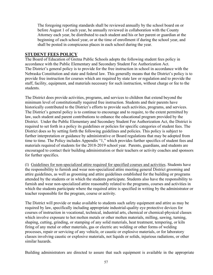The foregoing reporting standards shall be reviewed annually by the school board on or before August 1 of each year, be annually reviewed in collaboration with the County Attorney each year, be distributed to each student and his or her parent or guardian at the beginning of each school year, or at the time of enrollment if during the school year, and shall be posted in conspicuous places in each school during the year.

### **STUDENT FEES POLICY**

The Board of Education of Gretna Public Schools adopts the following student fees policy in accordance with the Public Elementary and Secondary Student Fee Authorization Act. The District's general policy is to provide for the free instruction in school in accordance with the Nebraska Constitution and state and federal law. This generally means that the District's policy is to provide free instruction for courses which are required by state law or regulation and to provide the staff, facility, equipment, and materials necessary for such instruction, without charge or fee to the students.

The District does provide activities, programs, and services to children that extend beyond the minimum level of constitutionally required free instruction. Students and their parents have historically contributed to the District's efforts to provide such activities, programs, and services. The District's general policy is to continue to encourage and to require, to the extent permitted by law, such student and parent contributions to enhance the educational program provided by the District. Under the Public Elementary and Secondary Student Fee Authorization Act, the District is required to set forth in a policy its guidelines or policies for specific categories of student fees. The District does so by setting forth the following guidelines and policies. This policy is subject to further interpretation or guidance by administrative or Board regulations that may be adopted from time to time. The Policy includes Appendix "1," which provides further specifics of student fees and materials required of students for the 2018-2019 school year. Parents, guardians, and students are encouraged to contact their building administration or their teachers or activity coaches and sponsors for further specifics.

(1) Guidelines for non-specialized attire required for specified courses and activities. Students have the responsibility to furnish and wear non-specialized attire meeting general District grooming and attire guidelines, as well as grooming and attire guidelines established for the building or programs attended by the students or in which the students participate. Students also have the responsibility to furnish and wear non-specialized attire reasonably related to the programs, courses and activities in which the students participate where the required attire is specified in writing by the administrator or teacher responsible for the program, course or activity.

The District will provide or make available to students such safety equipment and attire as may be required by law, specifically including appropriate industrial-quality eye protective devices for courses of instruction in vocational, technical, industrial arts, chemical or chemical-physical classes which involve exposure to hot molten metals or other molten materials, milling, sawing, turning, shaping, cutting, grinding, or stamping of any solid materials, heat treatment, tempering, or kiln firing of any metal or other materials, gas or electric arc welding or other forms of welding processes, repair or servicing of any vehicle, or caustic or explosive materials, or for laboratory classes involving caustic or explosive materials, not liquids or solids, injurious radiations, or other similar hazards.

Building administrators are directed to assure that such equipment is available in the appropriate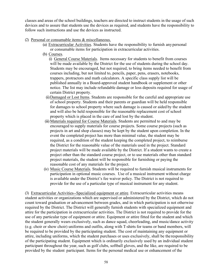classes and areas of the school buildings, teachers are directed to instruct students in the usage of such devices and to assure that students use the devices as required, and students have the responsibility to follow such instructions and use the devices as instructed.

- (2) Personal or consumable items & miscellaneous.
	- (a) Extracurricular Activities. Students have the responsibility to furnish anypersonal or consumable items for participation in extracurricular activities.
	- (b) Courses.

(i) General Course Materials. Items necessary for students to benefit from courses will be made available by the District for the use of students during the school day. Students may be encouraged, but not required, to bring items needed to benefit from courses including, but not limited to, pencils, paper, pens, erasers, notebooks, trappers, protractors and math calculators. A specific class supply list will be published annually in a Board-approved student handbook or supplement or other notice. The list may include refundable damage or loss deposits required for usage of certain District property.

- (ii)Damaged or Lost Items. Students are responsible for the careful and appropriate use of school property. Students and their parents or guardian will be held responsible for damages to school property where such damage is caused or aided by the student and will also be held responsible for the reasonable replacement cost of school property which is placed in the care of and lost by the student.
- (iii) Materials required for Course Materials. Students are permitted to and may be encouraged to supply materials for course projects. Some course projects (such as projects in art and shop classes) may be kept by the student upon completion. In the event the completed project has more than minimal value, the student may be required, as a condition of the student keeping the completed project, to reimburse the District for the reasonable value of the materials used in the project. Standard project materials will be made available by the District. If a student wants to create a project other than the standard course project, or to use materials other than standard project materials, the student will be responsible for furnishing or paying the reasonable cost of any materials for the project.
- (iv) Music Course Materials. Students will be required to furnish musical instruments for participation in optional music courses. Use of a musical instrument without charge is available under the District's fee waiver policy. The District is not required to provide for the use of a particular type of musical instrument for any student.

(3) Extracurricular Activities--Specialized equipment or attire. Extracurricular activities means student activities or organizations which are supervised or administered by the District, which do not count toward graduation or advancement between grades, and in which participation is not otherwise required by the District. The District will generally furnish students with specialized equipment and attire for the participation in extracurricular activities. The District is not required to provide for the use of any particular type of equipment or attire. Equipment or attire fitted for the student and which the student generally wears exclusively, such as dance squad, cheerleading, and music/dance activity (e.g. choir or show choir) uniforms and outfits, along with T-shirts for teams or band members, will be required to be provided by the participating student. The cost of maintaining any equipment or attire, including uniforms, which the student purchases or uses exclusively, shall be theresponsibility of the participating student. Equipment which is ordinarily exclusively used by an individual student participant throughout the year, such as golf clubs, softball gloves, and the like, are required to be provided by the student participant. Items for the personal medical use or enhancement of the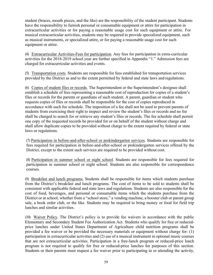student (braces, mouth pieces, and the like) are the responsibility of the student participant. Students have the responsibility to furnish personal or consumable equipment or attire for participation in extracurricular activities or for paying a reasonable usage cost for such equipment or attire. For musical extracurricular activities, students may be required to provide specialized equipment, such as musical instruments, or specialized attire, or for paying a reasonable usage cost for such equipment or attire.

(4) Extracurricular Activities-Fees for participation. Any fees for participation in extra-curricular activities for the 2018-2019 school year are further specified in Appendix "1." Admission fees are charged for extracurricular activities and events.

(5) Transportation costs. Students are responsible for fees established for transportation services provided by the District as and to the extent permitted by federal and state laws and regulations.

(6) Copies of student files or records. The Superintendent or the Superintendent's designee shall establish a schedule of fees representing a reasonable cost of reproduction for copies of a student's files or records for the parents or guardians of such student. A parent, guardian or student who requests copies of files or records shall be responsible for the cost of copies reproduced in accordance with such fee schedule. The imposition of a fee shall not be used to prevent parents of students from exercising their right to inspect and review the student's files or records and no fee shall be charged to search for or retrieve any student's files or records. The fee schedule shall permit one copy of the requested records be provided for or on behalf of the student without charge and shall allow duplicate copies to be provided without charge to the extent required by federal or state laws or regulations.

(7) Participation in before-and-after-school or prekindergarten services. Students are responsible for fees required for participation in before-and-after-school or prekindergarten services offered by the District, except to the extent such services are required to be provided without cost.

(8) Participation in summer school or night school. Students are responsible for fees required for participation in summer school or night school. Students are also responsible for correspondence courses.

(9) Breakfast and lunch programs. Students shall be responsible for items which students purchase from the District's breakfast and lunch programs. The cost of items to be sold to students shall be consistent with applicable federal and state laws and regulations. Students are also responsible for the cost of food, beverages, and personal or consumable items which the students purchase from the District or at school, whether from a "school store," a vending machine, a booster club or parent group sale, a book order club, or the like. Students may be required to bring money or food for field trip lunches and similar activities.

(10) Waiver Policy. The District's policy is to provide fee waivers in accordance with the public Elementary and Secondary Student Fee Authorization Act. Students who qualify for free or reducedprice lunches under United States Department of Agriculture child nutrition programs shall be provided a fee waiver or be provided the necessary materials or equipment without charge for: (1) participation in extracurricular activities and (2) use of a musical instrument in optional music courses that are not extracurricular activities. Participation in a free-lunch program or reduced-price lunch program is not required to qualify for free or reduced-price lunches for purposes of this section. Students or their parents must request a fee waiver prior to participating in or attending the activity,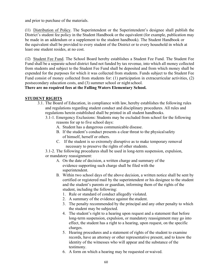and prior to purchase of the materials.

(11) Distribution of Policy. The Superintendent or the Superintendent's designee shall publish the District's student fee policy in the Student Handbook or the equivalent (for example, publication may be made in an addendum or a supplement to the student handbook). The Student Handbook or the equivalent shall be provided to every student of the District or to every household in which at least one student resides, at no cost.

(12) Student Fee Fund. The School Board hereby establishes a Student Fee Fund. The Student Fee Fund shall be a separate school district fund not funded by tax revenue, into which all money collected from students and subject to the Student Fee Fund shall be deposited and from which money shall be expended for the purposes for which it was collected from students. Funds subject to the Student Fee Fund consist of money collected from students for: (1) participation in extracurricular activities, (2) postsecondary education costs, and (3) summer school or night school.

#### **There are no required fees at the Falling Waters Elementary School.**

#### **STUDENT RIGHTS**

- 3.1. The Board of Education, in compliance with law, hereby establishes the following rules and regulations regarding student conduct and disciplinary procedures. All rules and regulations herein established shall be printed in all student handbooks.
	- 3.1-1. Emergency Exclusions: Students may be excluded from school for the following reasons for up to five school days:
		- A. Student has a dangerous communicable disease.
		- B. If the student's conduct presents a clear threat to the physicalsafety of himself, herself or others.
		- C. If the student is so extremely disruptive as to make temporary removal necessary to preserve the rights of other students.

3.1-2. The following procedures shall be used in long-term suspension, expulsion, or mandatory reassignment:

- A. On the date of decision, a written charge and summary of the evidence supporting such charge shall be filed with the superintendent.
- B. Within two school days of the above decision, a written notice shall be sent by certified or registered mail by the superintendent or his designee to the student and the student's parents or guardian, informing them of the rights of the student, including the following:
	- 1. Rule or standard of conduct allegedly violated.
	- 2. A summary of the evidence against the student.
	- 3. The penalty recommended by the principal and any other penalty to which the student may be subjected.
	- 4. The student's right to a hearing upon request and a statement that before long-term suspension, expulsion, or mandatory reassignment may go into effect, the student has a right to a hearing, upon request, on the specific charges.
	- 5. Hearing procedures and a statement of rights of the student to examine records, have an attorney or other representative present, and to know the identity of the witnesses who will appear and the substance of the testimony.
	- 6. A form on which a hearing may be requested or waived.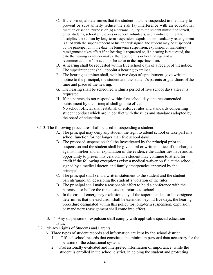- C. If the principal determines that the student must be suspended immediately to prevent or substantially reduce the risk (a) interference with an educational function or school purpose or (b) a personal injury to the student himself or herself, other students, school employees or school volunteers, and a notice of intent to discipline the student by long-term suspension, expulsion, or mandatory reassignment is filed with the superintendent or his or herdesignee, the student may be suspended by the principal until the date the long-term suspension, expulsion, or mandatory reassignment takes effect if no hearing is requested or, if a hearing is requested, the date the hearing examiner makes the report of his or her findings and a recommendation of the action to be taken to the superintendent.
- D. A hearing shall be requested within five school days of a receipt of thenotice.
- E. The superintendent shall appoint a hearing examiner.
- F. The hearing examiner shall, within two days of appointment, give written notice to the principal, the student and the student's parents or guardians ofthe time and place of the hearing.
- G. The hearing shall be scheduled within a period of five school days after it is requested.
- H. If the parents do not respond within five school days the recommended punishment by the principal shall go into effect. No school official shall establish or enforce rules and standards concerning student conduct which are in conflict with the rules and standards adopted by the board of education.
- 3.1-3. The following procedures shall be used in suspending a student:
	- A. The principal may deny any student the right to attend school or take part in a school function for not longer than five school days.
	- B. The proposed suspension shall be investigated by the principal prior to suspension and the student shall be given oral or written notice of the charges against him/her and an explanation of the evidence the authorities have and an opportunity to present his version. The student may continue to attend for credit if the following exceptions exist: a medical waiver on file at the school, signed by a medical doctor, and family emergencies approved by the principal.
	- C. The principal shall send a written statement to the student and the student parents/guardian, describing the student's violation of the rules.
	- D. The principal shall make a reasonable effort to hold a conference with the parents at or before the time a student returns to school.
	- E. In the case of emergency exclusion only, if the superintendent or his designee determines that the exclusion shall be extended beyond five days, the hearing procedure designated within this policy for long-term suspension, expulsion, or mandatory reassignment shall come into effect.
	- 3.1-4. Any suspension or expulsion shall comply with applicable special education laws.
- 3.2. Privacy Rights of Students and Parents:
	- A. Three types of student records and information are kept by the school district.
		- 1. Official school records that constitute the minimum personal data necessary for the operation of the educational system.
		- 2. Professionally evaluated and interpreted information of importance, while the student is enrolled in the school district, in helping the student and protecting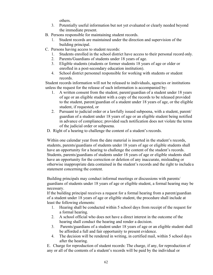others.

- 3. Potentially useful information but not yet evaluated or clearly needed beyond the immediate present.
- B. Persons responsible for maintaining student records.
	- 1. Student records are maintained under the direction and supervision of the building principal.
- C. Persons having access to student records:
	- 1. Students enrolled in the school district have access to their personal record only.
	- 2. Parents/Guardians of students under 18 years of age.
	- 3. Eligible students (students or former students 18 years of age or older or enrolled in a post-secondary education institution).
	- 4. School district personnel responsible for working with students or student records.

Student records information will not be released to individuals, agencies or institutions unless the request for the release of such information is accompanied by:

- 1. A written consent from the student, parent/guardian of a student under 18 years of age or an eligible student with a copy of the records to be released provided to the student, parent/guardian of a student under 18 years of age, or the eligible student, if requested, or
- 2. Pursuant to judicial order or a lawfully issued subpoena, with a student, parent/ guardian of a student under 18 years of age or an eligible student being notified in advance of compliance; provided such notification does not violate the terms of the judicial order or subpoena.
- D. Right of a hearing to challenge the content of a student's records.

Within one calendar year from the date material is inserted in the student's records, students, parents/guardians of students under 18 years of age or eligible students shall have an opportunity for a hearing to challenge the content of the student's records. Students, parents/guardians of students under 18 years of age or eligible students shall have an opportunity for the correction or deletion of any inaccurate, misleading or otherwise inappropriate data contained in the student's records and the right to include a statement concerning the content.

Building principals may conduct informal meetings or discussions with parents/ guardians of students under 18 years of age or eligible student, a formal hearing may be necessary.

If the building principal receives a request for a formal hearing from a parent/guardian of a student under 18 years of age or eligible student, the procedure shall include at least the following elements:

- 1. Hearing shall be conducted within 5 school days from receipt of the request for a formal hearing.
- 2. A school official who does not have a direct interest in the outcome of the hearing shall conduct the hearing and render a decision.
- 3. Parents/guardians of a student under 18 years of age or an eligible student shall be afforded a full and fair opportunity to present evidence.
- 4. The decision will be rendered in writing, in certified mail, within 5 school days after the hearing.

E. Charge for reproduction of student records: The charge, if any, for reproduction of any or all of the contents of a student's records will be paid by the individual or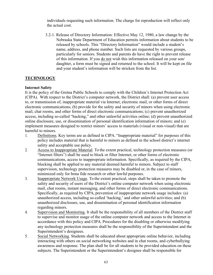individuals requesting such information. The charge for reproduction will reflect only the actual cost.

3.2-1. Release of Directory Information: Effective May 12, 1980, a law change by the Nebraska State Department of Education permits information about students to be released by schools. This "Directory Information" would include a student's name, address, and phone number. Such lists are requested by various groups, particularly for seniors. Students and parents do have the right to prevent release of this information. If you do not wish this information released on your son/ daughter, a form must be signed and returned to the school. It will be kept on file and your student's information will be stricken from the list.

### **TECHNOLOGY**

#### **Internet Safety**

It is the policy of the Gretna Public Schools to comply with the Children's Internet Protection Act (CIPA). With respect to the District's computer network, the District shall: (a) prevent user access to, or transmission of, inappropriate material via Internet, electronic mail, or other forms of direct electronic communications; (b) provide for the safety and security of minors when using electronic mail, chat rooms, and other forms of direct electronic communications; (c) prevent unauthorized access, including so-called "hacking," and other unlawful activities online; (d) prevent unauthorized online disclosure, use, or dissemination of personal identification information of minors; and (e) implement measures designed to restrict minors' access to materials (visual or non-visual) that are harmful to minors.

- 1. Definitions. Key terms are as defined in CIPA. "Inappropriate material" for purposes of this policy includes material that is harmful to minors as defined in the school district's internet safety and acceptable use policy.
- 2. Access to Inappropriate Material. To the extent practical, technology protection measures (or "Internet filters") shall be used to block or filter Internet, or other forms of electronic communications, access to inappropriate information. Specifically, as required by the CIPA, blocking shall be applied to any material deemed harmful to minors. Subject to staff supervision, technology protection measures may be disabled or, in the case of minors, minimized only for bona fide research or other lawful purposes.
- 3. Inappropriate Network Usage. To the extent practical, steps shall be taken to promote the safety and security of users of the District's online computer network when using electronic mail, chat rooms, instant messaging, and other forms of direct electronic communications. Specifically, as required by CIPA, prevention of inappropriate network usage includes: (a) unauthorized access, including so-called 'hacking,' and other unlawful activities; and (b) unauthorized disclosure, use, and dissemination of personal identification information regarding minors.
- 4. Supervision and Monitoring. It shall be the responsibility of all members of the District staff to supervise and monitor usage of the online computer network and access to the Internet in accordance with this policy and CIPA. Procedures for the disabling or otherwise modifying any technology protection measures shall be the responsibility of the Superintendent and the Superintendent's designees.
- 5. Social Networking. Students shall be educated about appropriate online behavior, including interacting with others on social networking websites and in chat rooms, and cyberbullying awareness and response. The plan shall be for all students to be provided education on these subjects. The Superintendent or the Superintendent's designee shall be responsible for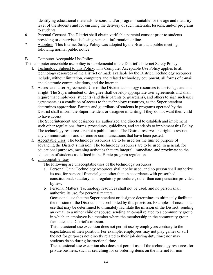identifying educational materials, lessons, and/or programs suitable for the age and maturity level of the students and for ensuring the delivery of such materials, lessons, and/or programs to students.

- 6. Parental Consent. The District shall obtain verifiable parental consent prior to students providing or otherwise disclosing personal information online.
- 7. Adoption. This Internet Safety Policy was adopted by the Board at a public meeting, following normal public notice.

### B. Computer Acceptable Use Policy

This computer acceptable use policy is supplemental to the District's Internet Safety Policy.

- 1. Technology Subject to this Policy. This Computer Acceptable Use Policy applies to all technology resources of the District or made available by the District. Technology resources include, without limitation, computers and related technology equipment, all forms of e-mail and electronic communications, and the internet.
- 2. Access and User Agreements. Use of the District technology resources is a privilege and not a right. The Superintendent or designee shall develop appropriate user agreements and shall require that employees, students (and their parents or guardians), and others to sign such user agreements as a condition of access to the technology resources, as the Superintendent determines appropriate. Parents and guardians of students in programs operated by the District shall inform the Superintendent or designee in writing if they do not want their child to have access.

The Superintendent and designees are authorized and directed to establish and implement such other regulations, forms, procedures, guidelines, and standards to implement this Policy. The technology resources are not a public forum. The District reserves the right to restrict any communications and to remove communications that have been posted.

- 3. Acceptable Uses. The technology resources are to be used for the limited purpose of advancing the District's mission. The technology resources are to be used, in general, for educational purposes, meaning activities that are integral, immediate, and proximate to the education of students as defined in the E-rate program regulations.
- 4. Unacceptable Uses.

The following are unacceptable uses of the technology resources:

- a. Personal Gain: Technology resources shall not be used, and no person shall authorize its use, for personal financial gain other than in accordance with prescribed constitutional, statutory, and regulatory procedures, other than compensation provided by law.
- b. Personal Matters: Technology resources shall not be used, and no person shall authorize its use, for personal matters.

Occasional use that the Superintendent or designee determines to ultimately facilitate the mission of the District is not prohibited by this provision. Examples of occasional use that may be determined to ultimately facilitate the mission of the District: sending an e-mail to a minor child or spouse; sending an e-mail related to a community group in which an employee is a member where the membership in the community group facilitates the District's mission.

This occasional use exception does not permit use by employees contrary to the expectations of their position. For example, employees may not play games or surf the net for purposes not directly related to their job during duty time; nor may students do so during instructional time.

The occasional use exception also does not permit use of the technology resources for private business, such as searching for or ordering items on the internet for non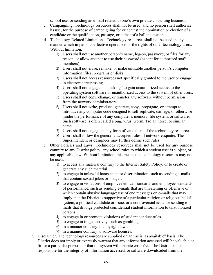school use; or sending an e-mail related to one's own private consulting business.

- c. Campaigning: Technology resources shall not be used, and no person shall authorize its use, for the purpose of campaigning for or against the nomination or election of a candidate or the qualification, passage, or defeat of a ballot question.
- d. Technology-Related Limitations: Technology resources shall not be used in any manner which impairs its effective operations or the rights of other technology users. Without limitation,
	- 1) Users shall not use another person's name, log-on, password, or files for any reason, or allow another to use their password (except for authorized staff members).
	- 2) Users shall not erase, remake, or make unusable another person's computer, information, files, programs or disks.
	- 3) Users shall not access resources not specifically granted to the user or engage in electronic trespassing.
	- 4) Users shall not engage in "hacking" to gain unauthorized access to the operating system software or unauthorized access to the system of other users.
	- 5) Users shall not copy, change, or transfer any software without permission from the network administrators.
	- 6) Users shall not write, produce, generate, copy, propagate, or attempt to introduce any computer code designed to self-replicate, damage, or otherwise hinder the performance of any computer's memory, file system, or software. Such software is often called a bug, virus, worm, Trojan horse, or similar name.
	- 7) Users shall not engage in any form of vandalism of the technology resources.
	- 8) Users shall follow the generally accepted rules of network etiquette. The Superintendent or designees may further define such rules.
- e. Other Policies and Laws: Technology resources shall not be used for any purpose contrary to any District policy, any school rules to which a student user is subject, or any applicable law. Without limitation, this means that technology resources may not be used:
	- 1) to access any material contrary to the Internet Safety Policy; or to create or generate any such material.
	- 2) to engage in unlawful harassment or discrimination, such as sending e-mails that contain sexual jokes or images.
	- 3) to engage in violations of employee ethical standards and employee standards of performance, such as sending e-mails that are threatening or offensive or which contain abusive language; use of end messages on e-mails that may imply that the District is supportive of a particular religion or religious belief system, a political candidate or issue, or a controversial issue; or sending emails that divulge protected confidential student information to unauthorized persons.
	- 4) to engage in or promote violations of student conduct rules.
	- 5) to engage in illegal activity, such as gambling.
	- 6) in a manner contrary to copyright laws.
	- 7) in a manner contrary to software licenses.
- 5. Disclaimer. The technology resources are supplied on an "as is, as available" basis. The District does not imply or expressly warrant that any information accessed will be valuable or fit for a particular purpose or that the system will operate error free. The District is not responsible for the integrity of information accessed, or software downloaded from the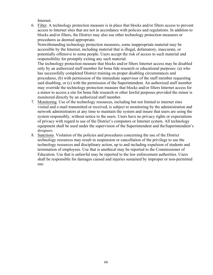Internet.

6. Filter. A technology protection measure is in place that blocks and/or filters access to prevent access to Internet sites that are not in accordance with policies and regulations. In addition to blocks and/or filters, the District may also use other technology protection measures or procedures as deemed appropriate.

Notwithstanding technology protection measures, some inappropriate material may be accessible by the Internet, including material that is illegal, defamatory, inaccurate, or potentially offensive to some people. Users accept the risk of access to such material and responsibility for promptly exiting any such material.

The technology protection measure that blocks and/or filters Internet access may be disabled only by an authorized staff member for bona fide research or educational purposes: (a) who has successfully completed District training on proper disabling circumstances and procedures, (b) with permission of the immediate supervisor of the staff member requesting said disabling, or (c) with the permission of the Superintendent. An authorized staff member may override the technology protection measure that blocks and/or filters Internet access for a minor to access a site for bona fide research or other lawful purposes provided the minor is monitored directly by an authorized staff member.

- 7. Monitoring. Use of the technology resources, including but not limited to internet sites visited and e-mail transmitted or received, is subject to monitoring by the administration and network administrators at any time to maintain the system and insure that users are using the system responsibly, without notice to the users. Users have no privacy rights or expectations of privacy with regard to use of the District's computers or Internet system. All technology equipment shall be used under the supervision of the Superintendent and theSuperintendent's designees.
- 8. Sanctions. Violation of the policies and procedures concerning the use of the District technology resources may result in suspension or cancellation of the privilege to use the technology resources and disciplinary action, up to and including expulsion of students and termination of employees. Use that is unethical may be reported to the Commissioner of Education. Use that is unlawful may be reported to the law enforcement authorities. Users shall be responsible for damages caused and injuries sustained by improper or non-permitted use.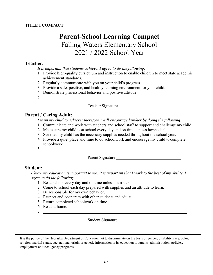# **Parent-School Learning Compact** Falling Waters Elementary School 2021 / 2022 School Year

## **Teacher:**

*It is important that students achieve. I agree to do the following:*

- 1. Provide high-quality curriculum and instruction to enable children to meet state academic achievement standards.
- 2. Regularly communicate with you on your child's progress.
- 3. Provide a safe, positive, and healthy learning environment for your child.
- 4. Demonstrate professional behavior and positive attitude.
- 5.

Teacher Signature

# **Parent / Caring Adult:**

*I want my child to achieve; therefore I will encourage him/her by doing the following:*

- 1. Communicate and work with teachers and school staff to support and challenge my child.
- 2. Make sure my child is at school every day and on time, unless he/she is ill.
- 3. See that my child has the necessary supplies needed throughout the school year.
- 4. Provide a quiet place and time to do schoolwork and encourage my child to complete schoolwork.
- 5.

Parent Signature

# **Student:**

*I know my education is important to me. It is important that I work to the best of my ability. I agree to do the following:*

- 1. Be at school every day and on time unless I am sick.
- 2. Come to school each day prepared with supplies and an attitude to learn.
- 3. Be responsible for my own behavior.
- 4. Respect and cooperate with other students and adults.
- 5. Return completed schoolwork on time.
- 6. Read at home.
- 7.

Student Signature

It is the policy of the Nebraska Department of Education not to discriminate on the basis of gender, disability, race, color, religion, marital status, age, national origin or genetic information in its education programs, administration, policies, employment or other agency programs.